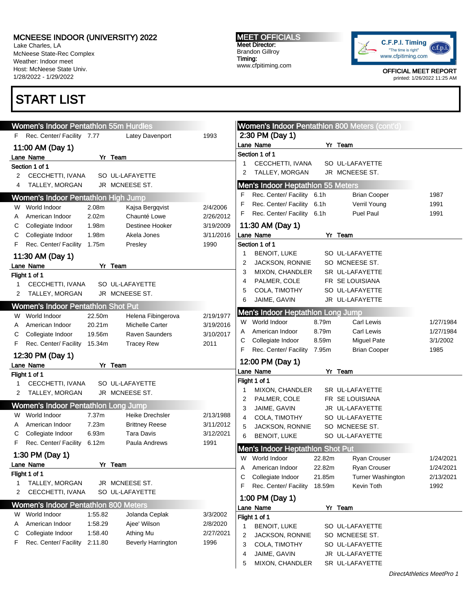Lake Charles, LA McNeese State-Rec Complex Weather: Indoor meet Host: McNeese State Univ. 1/28/2022 - 1/29/2022

## START LIST

MEET OFFICIALS Meet Director: Brandon Gillroy Timing: www.cfpitiming.com



|   | Women's Indoor Pentathlon 55m Hurdles       |         |                           |           | <b>Women's Indoor Pentathion 800 Meters (cont'd)</b>                            |           |
|---|---------------------------------------------|---------|---------------------------|-----------|---------------------------------------------------------------------------------|-----------|
|   | F Rec. Center/ Facility 7.77                |         | Latey Davenport           | 1993      | 2:30 PM (Day 1)                                                                 |           |
|   | 11:00 AM (Day 1)                            |         |                           |           | Lane Name<br>Yr Team                                                            |           |
|   | Lane Name                                   |         | Yr Team                   |           | Section 1 of 1                                                                  |           |
|   | Section 1 of 1                              |         |                           |           | CECCHETTI, IVANA<br>SO UL-LAFAYETTE<br>1                                        |           |
| 2 | CECCHETTI, IVANA                            |         | SO UL-LAFAYETTE           |           | JR MCNEESE ST.<br>TALLEY, MORGAN<br>2                                           |           |
| 4 | TALLEY, MORGAN                              |         | JR MCNEESE ST.            |           | <b>Men's Indoor Heptathlon 55 Meters</b>                                        |           |
|   | Women's Indoor Pentathlon High Jump         |         |                           |           | Rec. Center/ Facility 6.1h<br><b>Brian Cooper</b><br>F                          | 1987      |
| W | World Indoor                                | 2.08m   | Kajsa Bergqvist           | 2/4/2006  | Rec. Center/ Facility<br>Verril Young<br>F<br>6.1h                              | 1991      |
|   | American Indoor                             | 2.02m   | Chaunté Lowe              | 2/26/2012 | Rec. Center/ Facility 6.1h<br>Puel Paul<br>F                                    | 1991      |
| С | Collegiate Indoor                           | 1.98m   | <b>Destinee Hooker</b>    | 3/19/2009 | 11:30 AM (Day 1)                                                                |           |
| С | Collegiate Indoor                           | 1.98m   | Akela Jones               | 3/11/2016 | Lane Name<br>Yr Team                                                            |           |
| F | Rec. Center/ Facility                       | 1.75m   | Presley                   | 1990      | Section 1 of 1                                                                  |           |
|   | 11:30 AM (Day 1)                            |         |                           |           | <b>BENOIT, LUKE</b><br>SO UL-LAFAYETTE<br>1                                     |           |
|   | Lane Name                                   |         | Yr Team                   |           | JACKSON, RONNIE<br>SO MCNEESE ST.<br>2                                          |           |
|   | Flight 1 of 1                               |         |                           |           | 3<br>MIXON, CHANDLER<br>SR UL-LAFAYETTE                                         |           |
| 1 | CECCHETTI, IVANA                            |         | SO UL-LAFAYETTE           |           | PALMER, COLE<br>FR SE LOUISIANA<br>4                                            |           |
| 2 | TALLEY, MORGAN                              |         | JR MCNEESE ST.            |           | COLA, TIMOTHY<br>SO UL-LAFAYETTE<br>5                                           |           |
|   |                                             |         |                           |           | JAIME, GAVIN<br>JR UL-LAFAYETTE<br>6                                            |           |
|   | <b>Women's Indoor Pentathlon Shot Put</b>   |         |                           |           | Men's Indoor Heptathlon Long Jump                                               |           |
| W | World Indoor                                | 22.50m  | Helena Fibingerova        | 2/19/1977 | World Indoor<br>8.79m<br>Carl Lewis<br>W                                        | 1/27/1984 |
| A | American Indoor                             | 20.21m  | <b>Michelle Carter</b>    | 3/19/2016 | 8.79m<br><b>Carl Lewis</b><br>American Indoor<br>A                              | 1/27/1984 |
| С | Collegiate Indoor                           | 19.56m  | <b>Raven Saunders</b>     | 3/10/2017 | Collegiate Indoor<br>8.59m<br><b>Miguel Pate</b><br>С                           | 3/1/2002  |
| F | Rec. Center/ Facility                       | 15.34m  | <b>Tracey Rew</b>         | 2011      |                                                                                 |           |
|   |                                             |         |                           |           |                                                                                 |           |
|   | 12:30 PM (Day 1)                            |         |                           |           | Rec. Center/ Facility 7.95m<br>F<br><b>Brian Cooper</b>                         | 1985      |
|   | Lane Name                                   |         | Yr Team                   |           | 12:00 PM (Day 1)                                                                |           |
|   | Flight 1 of 1                               |         |                           |           | Lane Name<br>Yr Team                                                            |           |
| 1 | CECCHETTI, IVANA                            |         | SO UL-LAFAYETTE           |           | Flight 1 of 1                                                                   |           |
| 2 | TALLEY, MORGAN                              |         | JR MCNEESE ST.            |           | MIXON, CHANDLER<br>SR UL-LAFAYETTE<br>-1                                        |           |
|   | <b>Women's Indoor Pentathlon Long Jump</b>  |         |                           |           | PALMER, COLE<br>FR SE LOUISIANA<br>2                                            |           |
|   | W World Indoor                              | 7.37m   | Heike Drechsler           | 2/13/1988 | 3<br>JAIME, GAVIN<br>JR UL-LAFAYETTE                                            |           |
|   | American Indoor                             | 7.23m   | <b>Brittney Reese</b>     | 3/11/2012 | COLA, TIMOTHY<br>SO UL-LAFAYETTE<br>4                                           |           |
| С | Collegiate Indoor                           | 6.93m   | Tara Davis                | 3/12/2021 | 5<br>JACKSON, RONNIE<br>SO MCNEESE ST.                                          |           |
| F | Rec. Center/ Facility                       | 6.12m   | Paula Andrews             | 1991      | <b>BENOIT, LUKE</b><br>6<br>SO UL-LAFAYETTE                                     |           |
|   |                                             |         |                           |           | Men's Indoor Heptathlon Shot Put                                                |           |
|   | 1:30 PM (Day 1)<br>Lane Name                |         | Yr Team                   |           | W World Indoor<br>22.82m<br><b>Ryan Crouser</b>                                 | 1/24/2021 |
|   |                                             |         |                           |           | 22.82m<br>Ryan Crouser<br>American Indoor<br>A                                  | 1/24/2021 |
|   | Flight 1 of 1<br>TALLEY, MORGAN             |         | JR MCNEESE ST.            |           | Collegiate Indoor<br>21.85m<br>Turner Washington<br>С                           | 2/13/2021 |
| 2 | CECCHETTI, IVANA                            |         | SO UL-LAFAYETTE           |           | Rec. Center/ Facility<br>18.59m<br>Kevin Toth<br>F                              | 1992      |
|   |                                             |         |                           |           | 1:00 PM (Day 1)                                                                 |           |
|   | <b>Women's Indoor Pentathlon 800 Meters</b> |         |                           |           | Yr Team<br>Lane Name                                                            |           |
| W | World Indoor                                | 1:55.82 | Jolanda Ceplak            | 3/3/2002  | Flight 1 of 1                                                                   |           |
| A | American Indoor                             | 1:58.29 | Ajee' Wilson              | 2/8/2020  | <b>BENOIT, LUKE</b><br>SO UL-LAFAYETTE<br>1                                     |           |
| С | Collegiate Indoor                           | 1:58.40 | Athing Mu                 | 2/27/2021 | SO MCNEESE ST.<br>2<br>JACKSON, RONNIE                                          |           |
| F | Rec. Center/ Facility                       | 2:11.80 | <b>Beverly Harrington</b> | 1996      | COLA, TIMOTHY<br>SO UL-LAFAYETTE<br>3                                           |           |
|   |                                             |         |                           |           | JAIME, GAVIN<br>JR UL-LAFAYETTE<br>4<br>SR UL-LAFAYETTE<br>MIXON, CHANDLER<br>5 |           |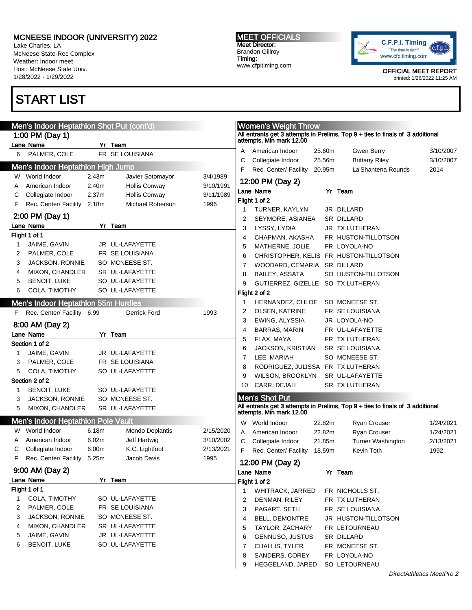Lake Charles, LA McNeese State-Rec Complex Weather: Indoor meet Host: McNeese State Univ. 1/28/2022 - 1/29/2022

# START LIST

MEET OFFICIALS Meet Director: Brandon Gillroy Timing: www.cfpitiming.com



|    | Men's Indoor Heptathlon Shot Put (cont'd) |                   |                      |           |    | <b>Women's Weight Throw</b>       |        |                                                                                                         |                           |
|----|-------------------------------------------|-------------------|----------------------|-----------|----|-----------------------------------|--------|---------------------------------------------------------------------------------------------------------|---------------------------|
|    | 1:00 PM (Day 1)                           |                   |                      |           |    |                                   |        | All entrants get 3 attempts in Prelims, Top 9 + ties to finals of 3 additional attempts, Min mark 12.00 |                           |
|    | Lane Name                                 |                   | Yr Team              |           |    |                                   |        |                                                                                                         |                           |
| 6  | PALMER, COLE                              |                   | FR SE LOUISIANA      |           | A  | American Indoor                   | 25.60m | <b>Gwen Berry</b>                                                                                       | 3/10/2007                 |
|    | Men's Indoor Heptathlon High Jump         |                   |                      |           | С  | Collegiate Indoor                 | 25.56m | <b>Brittany Riley</b>                                                                                   | 3/10/2007                 |
| W  | World Indoor                              | 2.43m             | Javier Sotomayor     | 3/4/1989  | F  | Rec. Center/ Facility             | 20.95m | La'Shantena Rounds                                                                                      | 2014                      |
| Α  | American Indoor                           | 2.40m             | <b>Hollis Conway</b> | 3/10/1991 |    | 12:00 PM (Day 2)                  |        |                                                                                                         |                           |
| С  | Collegiate Indoor                         | 2.37 <sub>m</sub> | <b>Hollis Conway</b> | 3/11/1989 |    | Lane Name                         |        | Yr Team                                                                                                 |                           |
| F  | Rec. Center/ Facility                     | 2.18m             | Michael Roberson     | 1996      |    | Flight 1 of 2                     |        |                                                                                                         |                           |
|    |                                           |                   |                      |           | 1  | TURNER, KAYLYN                    |        | JR DILLARD                                                                                              |                           |
|    | 2:00 PM (Day 1)                           |                   |                      |           | 2  | SEYMORE, ASIANEA                  |        | SR DILLARD                                                                                              |                           |
|    | Lane Name                                 |                   | Yr Team              |           | 3  | LYSSY, LYDIA                      |        | <b>JR TX LUTHERAN</b>                                                                                   |                           |
|    | Flight 1 of 1                             |                   |                      |           | 4  | CHAPMAN, AKASHA                   |        | FR HUSTON-TILLOTSON                                                                                     |                           |
| 1  | JAIME, GAVIN                              |                   | JR UL-LAFAYETTE      |           | 5  | MATHERNE, JOLIE                   |        | FR LOYOLA-NO                                                                                            |                           |
| 2  | PALMER, COLE                              |                   | FR SE LOUISIANA      |           | 6  |                                   |        | CHRISTOPHER, KELIS FR HUSTON-TILLOTSON                                                                  |                           |
| 3  | <b>JACKSON, RONNIE</b>                    |                   | SO MCNEESE ST.       |           | 7  | WOODARD, CEMARIA                  |        | SR DILLARD                                                                                              |                           |
| 4  | MIXON, CHANDLER                           |                   | SR UL-LAFAYETTE      |           | 8  | <b>BAILEY, ASSATA</b>             |        | SO HUSTON-TILLOTSON                                                                                     |                           |
| 5  | <b>BENOIT, LUKE</b>                       |                   | SO UL-LAFAYETTE      |           | 9  | GUTIERREZ, GIZELLE SO TX LUTHERAN |        |                                                                                                         |                           |
| 6  | COLA, TIMOTHY                             |                   | SO UL-LAFAYETTE      |           |    | Flight 2 of 2                     |        |                                                                                                         |                           |
|    | Men's Indoor Heptathlon 55m Hurdles       |                   |                      |           | 1  | HERNANDEZ, CHLOE                  |        | SO MCNEESE ST.                                                                                          |                           |
| F. | Rec. Center/ Facility 6.99                |                   | Derrick Ford         | 1993      | 2  | <b>OLSEN, KATRINE</b>             |        | FR SE LOUISIANA                                                                                         |                           |
|    |                                           |                   |                      |           | 3  | EWING, ALYSSIA                    |        | JR LOYOLA-NO                                                                                            |                           |
|    | 8:00 AM (Day 2)                           |                   |                      |           | 4  | <b>BARRAS, MARIN</b>              |        | FR UL-LAFAYETTE                                                                                         |                           |
|    | Lane Name                                 |                   | Yr Team              |           | 5  | FLAX, MAYA                        |        | FR TX LUTHERAN                                                                                          |                           |
|    | Section 1 of 2                            |                   |                      |           | 6  | <b>JACKSON, KRISTIAN</b>          |        | SR SE LOUISIANA                                                                                         |                           |
|    | JAIME, GAVIN                              |                   | JR UL-LAFAYETTE      |           | 7  | LEE, MARIAH                       |        | SO MCNEESE ST.                                                                                          |                           |
| 3  | PALMER, COLE                              |                   | FR SE LOUISIANA      |           | 8  | RODRIGUEZ, JULISSA FR TX LUTHERAN |        |                                                                                                         |                           |
| 5  | COLA, TIMOTHY                             |                   | SO UL-LAFAYETTE      |           | 9  | WILSON, BROOKLYN                  |        | SR UL-LAFAYETTE                                                                                         |                           |
|    | Section 2 of 2                            |                   |                      |           | 10 | CARR, DEJAH                       |        | SR TX LUTHERAN                                                                                          |                           |
| 1  | <b>BENOIT, LUKE</b>                       |                   | SO UL-LAFAYETTE      |           |    |                                   |        |                                                                                                         |                           |
| 3  | JACKSON, RONNIE                           |                   | SO MCNEESE ST.       |           |    | Men's Shot Put                    |        |                                                                                                         |                           |
| 5  | MIXON, CHANDLER                           |                   | SR UL-LAFAYETTE      |           |    |                                   |        | All entrants get 3 attempts in Prelims, Top 9 + ties to finals of 3 additional attempts, Min mark 12.00 |                           |
|    | Men's Indoor Heptathlon Pole Vault        |                   |                      |           |    | W World Indoor                    |        |                                                                                                         |                           |
| W  | World Indoor                              | 6.18m             | Mondo Deplantis      | 2/15/2020 |    |                                   | 22.82m | Ryan Crouser                                                                                            | 1/24/2021                 |
| Α  | American Indoor                           | 6.02m             | Jeff Hartwig         | 3/10/2002 | A  | American Indoor                   | 22.82m | Ryan Crouser                                                                                            | 1/24/2021                 |
| С  | Collegiate Indoor                         | 6.00m             | K.C. Lightfoot       | 2/13/2021 | С  | Collegiate Indoor                 | 21.85m | Turner Washington                                                                                       | 2/13/2021                 |
| F  | Rec. Center/ Facility 5.25m               |                   | Jacob Davis          |           | F. | Rec. Center/ Facility             | 18.59m | Kevin Toth                                                                                              | 1992                      |
|    |                                           |                   |                      | 1995      |    | 12:00 PM (Day 2)                  |        |                                                                                                         |                           |
|    | 9:00 AM (Day 2)                           |                   |                      |           |    | Lane Name                         |        | Yr Team                                                                                                 |                           |
|    | Lane Name                                 |                   | Yr Team              |           |    | Flight 1 of 2                     |        |                                                                                                         |                           |
|    | Flight 1 of 1                             |                   |                      |           | 1  | <b>WHITRACK, JARRED</b>           |        | FR NICHOLLS ST.                                                                                         |                           |
| 1  | COLA, TIMOTHY                             |                   | SO UL-LAFAYETTE      |           | 2  | DENMAN, RILEY                     |        | FR TX LUTHERAN                                                                                          |                           |
| 2  | PALMER, COLE                              |                   | FR SE LOUISIANA      |           | 3  | PAGART, SETH                      |        | FR SE LOUISIANA                                                                                         |                           |
| 3  | <b>JACKSON, RONNIE</b>                    |                   | SO MCNEESE ST.       |           | 4  | <b>BELL, DEMONTRE</b>             |        | JR HUSTON-TILLOTSON                                                                                     |                           |
| 4  | MIXON, CHANDLER                           |                   | SR UL-LAFAYETTE      |           | 5  | TAYLOR, ZACHARY                   |        | FR LETOURNEAU                                                                                           |                           |
| 5  | JAIME, GAVIN                              |                   | JR UL-LAFAYETTE      |           | 6  | GENNUSO, JUSTUS                   |        | SR DILLARD                                                                                              |                           |
| 6  | <b>BENOIT, LUKE</b>                       |                   | SO UL-LAFAYETTE      |           | 7  | CHALLIS, TYLER                    |        | FR MCNEESE ST.                                                                                          |                           |
|    |                                           |                   |                      |           | 8  | SANDERS, COREY                    |        | FR LOYOLA-NO                                                                                            |                           |
|    |                                           |                   |                      |           | 9  | HEGGELAND, JARED                  |        | SO LETOURNEAU                                                                                           |                           |
|    |                                           |                   |                      |           |    |                                   |        |                                                                                                         | DirectAthletics MeetPro 2 |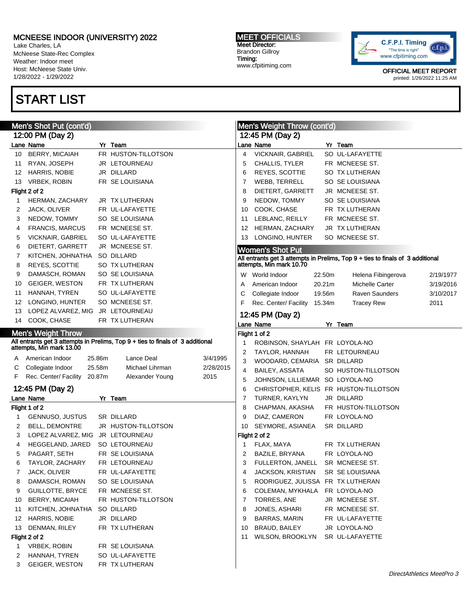Lake Charles, LA McNeese State-Rec Complex Weather: Indoor meet Host: McNeese State Univ. 1/28/2022 - 1/29/2022

## START LIST

#### MEET OFFICIALS Meet Director: Brandon Gillroy Timing: www.cfpitiming.com



|    | Men's Shot Put (cont'd)                                                                                 |        |                     |           |                | Men's Weight Throw (cont'd)       |        |                                                                                                         |           |
|----|---------------------------------------------------------------------------------------------------------|--------|---------------------|-----------|----------------|-----------------------------------|--------|---------------------------------------------------------------------------------------------------------|-----------|
|    | 12:00 PM (Day 2)                                                                                        |        |                     |           |                | 12:45 PM (Day 2)                  |        |                                                                                                         |           |
|    | Lane Name                                                                                               |        | Yr Team             |           |                | Lane Name                         |        | Yr Team                                                                                                 |           |
| 10 | BERRY, MICAIAH                                                                                          |        | FR HUSTON-TILLOTSON |           | $\overline{4}$ | VICKNAIR, GABRIEL                 |        | SO UL-LAFAYETTE                                                                                         |           |
| 11 | RYAN, JOSEPH                                                                                            |        | JR LETOURNEAU       |           | 5              | CHALLIS, TYLER                    |        | FR MCNEESE ST.                                                                                          |           |
| 12 | HARRIS, NOBIE                                                                                           |        | JR DILLARD          |           | 6              | <b>REYES, SCOTTIE</b>             |        | SO TX LUTHERAN                                                                                          |           |
| 13 | <b>VRBEK, ROBIN</b>                                                                                     |        | FR SE LOUISIANA     |           | 7              | WEBB, TERRELL                     |        | SO SE LOUISIANA                                                                                         |           |
|    | Flight 2 of 2                                                                                           |        |                     |           | 8              | DIETERT, GARRETT                  |        | JR MCNEESE ST.                                                                                          |           |
| 1  | HERMAN, ZACHARY                                                                                         |        | JR TX LUTHERAN      |           | 9              | NEDOW, TOMMY                      |        | SO SE LOUISIANA                                                                                         |           |
| 2  | JACK, OLIVER                                                                                            |        | FR UL-LAFAYETTE     |           | 10             | COOK, CHASE                       |        | FR TX LUTHERAN                                                                                          |           |
| 3  | NEDOW, TOMMY                                                                                            |        | SO SE LOUISIANA     |           | 11             | LEBLANC, REILLY                   |        | FR MCNEESE ST.                                                                                          |           |
| 4  | <b>FRANCIS, MARCUS</b>                                                                                  |        | FR MCNEESE ST.      |           | 12             | HERMAN, ZACHARY                   |        | JR TX LUTHERAN                                                                                          |           |
| 5  | <b>VICKNAIR, GABRIEL</b>                                                                                |        | SO UL-LAFAYETTE     |           | 13             | LONGINO, HUNTER                   |        | SO MCNEESE ST.                                                                                          |           |
| 6  | DIETERT, GARRETT                                                                                        |        | JR MCNEESE ST.      |           |                | <b>Women's Shot Put</b>           |        |                                                                                                         |           |
| 7  | KITCHEN, JOHNATHA                                                                                       |        | SO DILLARD          |           |                |                                   |        |                                                                                                         |           |
| 8  | REYES, SCOTTIE                                                                                          |        | SO TX LUTHERAN      |           |                |                                   |        | All entrants get 3 attempts in Prelims, Top 9 + ties to finals of 3 additional attempts, Min mark 10.70 |           |
| 9  | DAMASCH, ROMAN                                                                                          |        | SO SE LOUISIANA     |           |                | W World Indoor                    | 22.50m | Helena Fibingerova                                                                                      | 2/19/1977 |
| 10 | GEIGER, WESTON                                                                                          |        | FR TX LUTHERAN      |           | A              | American Indoor                   | 20.21m | <b>Michelle Carter</b>                                                                                  | 3/19/2016 |
| 11 | HANNAH, TYREN                                                                                           |        | SO UL-LAFAYETTE     |           | С              | Collegiate Indoor                 | 19.56m | <b>Raven Saunders</b>                                                                                   | 3/10/2017 |
| 12 | LONGINO, HUNTER                                                                                         |        | SO MCNEESE ST.      |           | F              | Rec. Center/ Facility             | 15.34m | <b>Tracey Rew</b>                                                                                       | 2011      |
| 13 | LOPEZ ALVAREZ, MIG                                                                                      |        | JR LETOURNEAU       |           |                | 12:45 PM (Day 2)                  |        |                                                                                                         |           |
| 14 | COOK, CHASE                                                                                             |        | FR TX LUTHERAN      |           |                | Lane Name                         |        | Yr Team                                                                                                 |           |
|    | <b>Men's Weight Throw</b>                                                                               |        |                     |           |                | Flight 1 of 2                     |        |                                                                                                         |           |
|    | All entrants get 3 attempts in Prelims, Top 9 + ties to finals of 3 additional attempts, Min mark 13.00 |        |                     |           | 1              | ROBINSON, SHAYLAH FR LOYOLA-NO    |        |                                                                                                         |           |
|    |                                                                                                         |        |                     |           | $\overline{c}$ | TAYLOR, HANNAH                    |        | FR LETOURNEAU                                                                                           |           |
| A  | American Indoor                                                                                         | 25.86m | Lance Deal          | 3/4/1995  | 3              | WOODARD, CEMARIA                  |        | SR DILLARD                                                                                              |           |
| С  | Collegiate Indoor                                                                                       | 25.58m | Michael Lihrman     | 2/28/2015 | 4              | BAILEY, ASSATA                    |        | SO HUSTON-TILLOTSON                                                                                     |           |
| F. | Rec. Center/ Facility                                                                                   | 20.87m | Alexander Young     | 2015      | 5              | JOHNSON, LILLIEMAR SO LOYOLA-NO   |        |                                                                                                         |           |
|    | 12:45 PM (Day 2)                                                                                        |        |                     |           | 6              |                                   |        | CHRISTOPHER, KELIS FR HUSTON-TILLOTSON                                                                  |           |
|    | Lane Name                                                                                               |        | Yr Team             |           | 7              | TURNER, KAYLYN                    |        | JR DILLARD                                                                                              |           |
|    | Flight 1 of 2                                                                                           |        |                     |           | 8              | CHAPMAN, AKASHA                   |        | FR HUSTON-TILLOTSON                                                                                     |           |
| 1  | GENNUSO, JUSTUS                                                                                         |        | SR DILLARD          |           | 9              | DIAZ, CAMERON                     |        | FR LOYOLA-NO                                                                                            |           |
| 2  | <b>BELL, DEMONTRE</b>                                                                                   |        | JR HUSTON-TILLOTSON |           | 10             | SEYMORE, ASIANEA                  |        | SR DILLARD                                                                                              |           |
| 3  | LOPEZ ALVAREZ, MIG JR LETOURNEAU                                                                        |        |                     |           |                | Flight 2 of 2                     |        |                                                                                                         |           |
| 4  | HEGGELAND, JARED                                                                                        |        | SO LETOURNEAU       |           | 1              | FLAX, MAYA                        |        | FR TX LUTHERAN                                                                                          |           |
| 5  | PAGART, SETH                                                                                            |        | FR SE LOUISIANA     |           | 2              | BAZILE, BRYANA                    |        | FR LOYOLA-NO                                                                                            |           |
| 6  | TAYLOR, ZACHARY                                                                                         |        | FR LETOURNEAU       |           | 3              | FULLERTON, JANELL                 |        | SR MCNEESE ST.                                                                                          |           |
| 7  | JACK, OLIVER                                                                                            |        | FR UL-LAFAYETTE     |           | 4              | JACKSON, KRISTIAN                 |        | SR SE LOUISIANA                                                                                         |           |
| 8  | DAMASCH, ROMAN                                                                                          |        | SO SE LOUISIANA     |           | 5              | RODRIGUEZ, JULISSA FR TX LUTHERAN |        |                                                                                                         |           |
| 9  | GUILLOTTE, BRYCE                                                                                        |        | FR MCNEESE ST.      |           | 6              | COLEMAN, MYKHALA                  |        | FR LOYOLA-NO                                                                                            |           |
| 10 | <b>BERRY, MICAIAH</b>                                                                                   |        | FR HUSTON-TILLOTSON |           | 7              | TORRES, ANE                       |        | JR MCNEESE ST.                                                                                          |           |
| 11 | KITCHEN, JOHNATHA                                                                                       |        | SO DILLARD          |           | 8              | JONES, ASHARI                     |        | FR MCNEESE ST.                                                                                          |           |
| 12 | HARRIS, NOBIE                                                                                           |        | JR DILLARD          |           | 9              | BARRAS, MARIN                     |        | FR UL-LAFAYETTE                                                                                         |           |
| 13 | DENMAN, RILEY                                                                                           |        | FR TX LUTHERAN      |           | 10             | BRAUD, BAILEY                     |        | JR LOYOLA-NO                                                                                            |           |
|    | Flight 2 of 2                                                                                           |        |                     |           | 11             | WILSON, BROOKLYN                  |        | SR UL-LAFAYETTE                                                                                         |           |
| 1  | <b>VRBEK, ROBIN</b>                                                                                     |        | FR SE LOUISIANA     |           |                |                                   |        |                                                                                                         |           |
| 2  | HANNAH, TYREN                                                                                           |        | SO UL-LAFAYETTE     |           |                |                                   |        |                                                                                                         |           |
| 3  | GEIGER, WESTON                                                                                          |        | FR TX LUTHERAN      |           |                |                                   |        |                                                                                                         |           |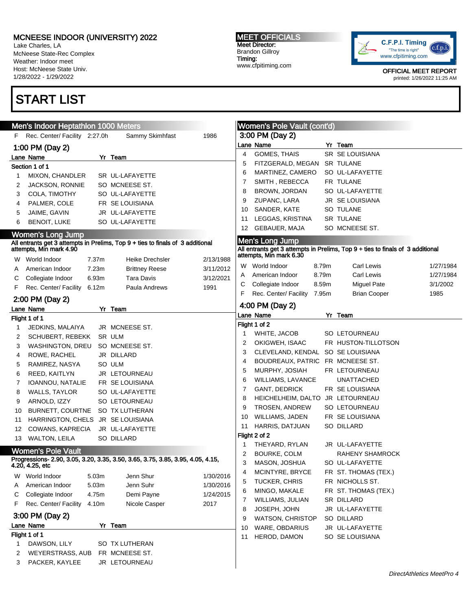Lake Charles, LA McNeese State-Rec Complex Weather: Indoor meet Host: McNeese State Univ. 1/28/2022 - 1/29/2022

# START LIST

#### MEET OFFICIALS Meet Director: Brandon Gillroy Timing: www.cfpitiming.com



|    | Men's Indoor Heptathlon 1000 Meters |                   |                                                                                                        |           |    | Women's Pole Vault (cont'd)       |       |                                                                                                          |           |
|----|-------------------------------------|-------------------|--------------------------------------------------------------------------------------------------------|-----------|----|-----------------------------------|-------|----------------------------------------------------------------------------------------------------------|-----------|
|    | F Rec. Center/ Facility 2:27.0h     |                   | Sammy Skimhfast                                                                                        | 1986      |    | 3:00 PM (Day 2)                   |       |                                                                                                          |           |
|    | 1:00 PM (Day 2)                     |                   |                                                                                                        |           |    | Lane Name                         |       | Yr Team                                                                                                  |           |
|    | Lane Name                           |                   | Yr Team                                                                                                |           | 4  | GOMES, THAIS                      |       | SR SE LOUISIANA                                                                                          |           |
|    | Section 1 of 1                      |                   |                                                                                                        |           | 5  | FITZGERALD, MEGAN                 |       | <b>SR TULANE</b>                                                                                         |           |
| 1  | MIXON, CHANDLER                     |                   | SR UL-LAFAYETTE                                                                                        |           | 6  | MARTINEZ, CAMERO                  |       | SO UL-LAFAYETTE                                                                                          |           |
| 2  | JACKSON, RONNIE                     |                   | SO MCNEESE ST.                                                                                         |           | 7  | SMITH, REBECCA                    |       | FR TULANE                                                                                                |           |
| 3  | COLA, TIMOTHY                       |                   | SO UL-LAFAYETTE                                                                                        |           | 8  | BROWN, JORDAN                     |       | SO UL-LAFAYETTE                                                                                          |           |
| 4  | PALMER, COLE                        |                   | FR SE LOUISIANA                                                                                        |           | 9  | ZUPANC, LARA                      |       | JR SE LOUISIANA                                                                                          |           |
| 5  | JAIME, GAVIN                        |                   | JR UL-LAFAYETTE                                                                                        |           | 10 | SANDER, KATE                      |       | SO TULANE                                                                                                |           |
| 6  | <b>BENOIT, LUKE</b>                 |                   | SO UL-LAFAYETTE                                                                                        |           | 11 | LEGGAS, KRISTINA                  |       | <b>SR TULANE</b>                                                                                         |           |
|    | <b>Women's Long Jump</b>            |                   |                                                                                                        |           | 12 | GEBAUER, MAJA                     |       | SO MCNEESE ST.                                                                                           |           |
|    |                                     |                   |                                                                                                        |           |    | Men's Long Jump                   |       |                                                                                                          |           |
|    |                                     |                   | All entrants get 3 attempts in Prelims, Top 9 + ties to finals of 3 additional attempts, Min mark 4.90 |           |    |                                   |       | All entrants get 3 attempts in Prelims, Top $9 +$ ties to finals of 3 additional attempts, Min mark 6.30 |           |
|    | W World Indoor                      | 7.37 <sub>m</sub> | <b>Heike Drechsler</b>                                                                                 | 2/13/1988 |    |                                   |       |                                                                                                          |           |
| A  | American Indoor                     | 7.23m             | <b>Brittney Reese</b>                                                                                  | 3/11/2012 |    | W World Indoor                    | 8.79m | Carl Lewis                                                                                               | 1/27/1984 |
| C  | Collegiate Indoor                   | 6.93m             | <b>Tara Davis</b>                                                                                      | 3/12/2021 | A  | American Indoor                   | 8.79m | Carl Lewis                                                                                               | 1/27/1984 |
| F. | Rec. Center/ Facility               | 6.12m             | Paula Andrews                                                                                          | 1991      | С  | Collegiate Indoor                 | 8.59m | <b>Miguel Pate</b>                                                                                       | 3/1/2002  |
|    | 2:00 PM (Day 2)                     |                   |                                                                                                        |           | F. | Rec. Center/ Facility             | 7.95m | <b>Brian Cooper</b>                                                                                      | 1985      |
|    | Lane Name                           |                   | Yr Team                                                                                                |           |    | 4:00 PM (Day 2)                   |       |                                                                                                          |           |
|    | Flight 1 of 1                       |                   |                                                                                                        |           |    | Lane Name                         |       | Yr Team                                                                                                  |           |
|    | JEDKINS, MALAIYA                    |                   | JR MCNEESE ST.                                                                                         |           |    | Flight 1 of 2                     |       |                                                                                                          |           |
| 2  | <b>SCHUBERT, REBEKK</b>             |                   | SR ULM                                                                                                 |           | 1  | WHITE, JACOB                      |       | SO LETOURNEAU                                                                                            |           |
| 3  | WASHINGTON, DREU                    |                   | SO MCNEESE ST.                                                                                         |           | 2  | OKIGWEH, ISAAC                    |       | FR HUSTON-TILLOTSON                                                                                      |           |
| 4  | ROWE, RACHEL                        |                   | JR DILLARD                                                                                             |           | 3  | CLEVELAND, KENDAL SO SE LOUISIANA |       |                                                                                                          |           |
| 5  | RAMIREZ, NASYA                      |                   | SO ULM                                                                                                 |           | 4  | BOUDREAUX, PATRIC FR MCNEESE ST.  |       |                                                                                                          |           |
| 6  | REED, KAITLYN                       |                   | JR LETOURNEAU                                                                                          |           | 5  | MURPHY, JOSIAH                    |       | FR LETOURNEAU                                                                                            |           |
| 7  | IOANNOU, NATALIE                    |                   | FR SE LOUISIANA                                                                                        |           | 6  | WILLIAMS, LAVANCE                 |       | <b>UNATTACHED</b>                                                                                        |           |
| 8  | WALLS, TAYLOR                       |                   | SO UL-LAFAYETTE                                                                                        |           | 7  | <b>GANT, DEDRICK</b>              |       | FR SE LOUISIANA                                                                                          |           |
| 9  | ARNOLD, IZZY                        |                   | SO LETOURNEAU                                                                                          |           | 8  | HEICHELHEIM, DALTO JR LETOURNEAU  |       |                                                                                                          |           |
| 10 | BURNETT, COURTNE                    |                   | SO TX LUTHERAN                                                                                         |           | 9  | <b>TROSEN, ANDREW</b>             |       | SO LETOURNEAU                                                                                            |           |
| 11 | HARRINGTON, CHELS JR SE LOUISIANA   |                   |                                                                                                        |           | 10 | WILLIAMS, JADEN                   |       | FR SE LOUISIANA                                                                                          |           |
| 12 | COWANS, KAPRECIA                    |                   | JR UL-LAFAYETTE                                                                                        |           | 11 | HARRIS, DATJUAN                   |       | SO DILLARD                                                                                               |           |
| 13 | <b>WALTON, LEILA</b>                |                   | SO DILLARD                                                                                             |           |    | Flight 2 of 2                     |       |                                                                                                          |           |
|    |                                     |                   |                                                                                                        |           | 1  | THEYARD, RYLAN                    |       | JR UL-LAFAYETTE                                                                                          |           |
|    | <b>Women's Pole Vault</b>           |                   | Progressions- 2.90, 3.05, 3.20, 3.35, 3.50, 3.65, 3.75, 3.85, 3.95, 4.05, 4.15,                        |           | 2  | BOURKE, COLM                      |       | RAHENY SHAMROCK                                                                                          |           |
|    | 4.20, 4.25, etc                     |                   |                                                                                                        |           | 3  | MASON, JOSHUA                     |       | SO UL-LAFAYETTE                                                                                          |           |
| W  | World Indoor                        | 5.03m             | Jenn Shur                                                                                              | 1/30/2016 | 4  | MCINTYRE, BRYCE                   |       | FR ST. THOMAS (TEX.)                                                                                     |           |
| A  | American Indoor                     | 5.03m             | Jenn Suhr                                                                                              | 1/30/2016 | 5  | TUCKER, CHRIS                     |       | FR NICHOLLS ST.                                                                                          |           |
| С  | Collegiate Indoor                   | 4.75m             | Demi Payne                                                                                             | 1/24/2015 | 6  | MINGO, MAKALE                     |       | FR ST. THOMAS (TEX.)                                                                                     |           |
| F. | Rec. Center/ Facility               | 4.10m             | Nicole Casper                                                                                          | 2017      | 7  | WILLIAMS, JULIAN                  |       | SR DILLARD                                                                                               |           |
|    |                                     |                   |                                                                                                        |           | 8  | JOSEPH, JOHN                      |       | JR UL-LAFAYETTE                                                                                          |           |
|    | 3:00 PM (Day 2)                     |                   |                                                                                                        |           | 9  | WATSON, CHRISTOP                  |       | SO DILLARD                                                                                               |           |
|    | Lane Name                           |                   | Yr Team                                                                                                |           | 10 | WARE, OBDARIUS                    |       | JR UL-LAFAYETTE                                                                                          |           |
|    | Flight 1 of 1                       |                   |                                                                                                        |           | 11 | HEROD, DAMON                      |       | SO SE LOUISIANA                                                                                          |           |
| 1  | DAWSON, LILY                        |                   | SO TX LUTHERAN                                                                                         |           |    |                                   |       |                                                                                                          |           |
| 2  | WEYERSTRASS, AUB                    |                   | FR MCNEESE ST.                                                                                         |           |    |                                   |       |                                                                                                          |           |
| 3  | PACKER, KAYLEE                      |                   | JR LETOURNEAU                                                                                          |           |    |                                   |       |                                                                                                          |           |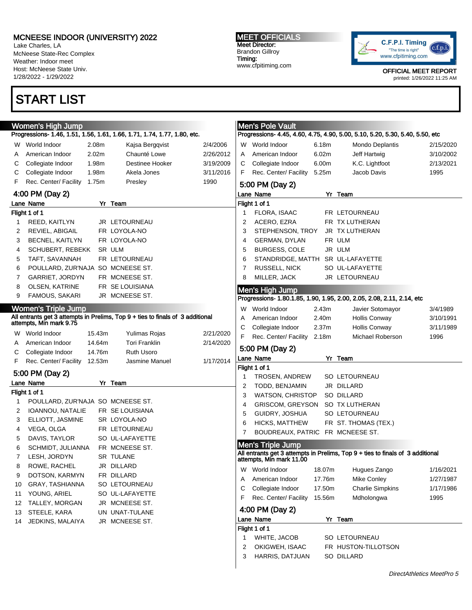Lake Charles, LA McNeese State-Rec Complex Weather: Indoor meet Host: McNeese State Univ. 1/28/2022 - 1/29/2022

## START LIST

MEET OFFICIALS Meet Director: Brandon Gillroy Timing: www.cfpitiming.com



| Women's High Jump |                                                    |        |                                                                                                           |           | <b>Men's Pole Vault</b><br>Progressions- 4.45, 4.60, 4.75, 4.90, 5.00, 5.10, 5.20, 5.30, 5.40, 5.50, etc |                                  |                                                                                |           |  |
|-------------------|----------------------------------------------------|--------|-----------------------------------------------------------------------------------------------------------|-----------|----------------------------------------------------------------------------------------------------------|----------------------------------|--------------------------------------------------------------------------------|-----------|--|
|                   |                                                    |        | Progressions- 1.46, 1.51, 1.56, 1.61, 1.66, 1.71, 1.74, 1.77, 1.80, etc.                                  |           |                                                                                                          |                                  |                                                                                |           |  |
|                   | W World Indoor                                     | 2.08m  | Kajsa Bergqvist                                                                                           | 2/4/2006  | W World Indoor                                                                                           | 6.18m                            | Mondo Deplantis                                                                | 2/15/2020 |  |
| A                 | American Indoor                                    | 2.02m  | Chaunté Lowe                                                                                              | 2/26/2012 | American Indoor                                                                                          | 6.02m                            | Jeff Hartwig                                                                   | 3/10/2002 |  |
| С                 | Collegiate Indoor                                  | 1.98m  | Destinee Hooker                                                                                           | 3/19/2009 | Collegiate Indoor                                                                                        | 6.00m                            | K.C. Lightfoot                                                                 | 2/13/2021 |  |
| С                 | Collegiate Indoor                                  | 1.98m  | Akela Jones                                                                                               | 3/11/2016 | Rec. Center/ Facility                                                                                    | 5.25m                            | Jacob Davis                                                                    | 1995      |  |
| F                 | Rec. Center/ Facility                              | 1.75m  | Presley                                                                                                   | 1990      | 5:00 PM (Day 2)                                                                                          |                                  |                                                                                |           |  |
|                   | 4:00 PM (Day 2)                                    |        |                                                                                                           |           | Lane Name                                                                                                |                                  | Yr Team                                                                        |           |  |
|                   | Lane Name                                          |        | Yr Team                                                                                                   |           | Flight 1 of 1                                                                                            |                                  |                                                                                |           |  |
|                   | Flight 1 of 1                                      |        |                                                                                                           |           | FLORA, ISAAC<br>1                                                                                        |                                  | FR LETOURNEAU                                                                  |           |  |
| 1                 | REED, KAITLYN                                      |        | JR LETOURNEAU                                                                                             |           | 2<br>ACERO, EZRA                                                                                         |                                  | FR TX LUTHERAN                                                                 |           |  |
| 2                 | REVIEL, ABIGAIL                                    |        | FR LOYOLA-NO                                                                                              |           | 3<br>STEPHENSON, TROY                                                                                    |                                  | JR TX LUTHERAN                                                                 |           |  |
| 3                 | <b>BECNEL, KAITLYN</b>                             |        | FR LOYOLA-NO                                                                                              |           | 4<br>GERMAN, DYLAN                                                                                       | FR ULM                           |                                                                                |           |  |
| 4                 | SCHUBERT, REBEKK                                   |        | SR ULM                                                                                                    |           | 5<br>BURGESS, COLE                                                                                       | JR ULM                           |                                                                                |           |  |
| 5                 | TAFT, SAVANNAH                                     |        | FR LETOURNEAU                                                                                             |           | 6                                                                                                        |                                  | STANDRIDGE, MATTH SR UL-LAFAYETTE                                              |           |  |
| 6                 | POULLARD, ZUR'NAJA SO MCNEESE ST.                  |        |                                                                                                           |           | 7<br>RUSSELL, NICK                                                                                       |                                  | SO UL-LAFAYETTE                                                                |           |  |
| 7                 | GARRIET, JORDYN                                    |        | FR MCNEESE ST.                                                                                            |           | 8<br>MILLER, JACK                                                                                        |                                  | JR LETOURNEAU                                                                  |           |  |
| 8                 | <b>OLSEN, KATRINE</b>                              |        | FR SE LOUISIANA                                                                                           |           | Men's High Jump                                                                                          |                                  |                                                                                |           |  |
| 9                 | <b>FAMOUS, SAKARI</b>                              |        | JR MCNEESE ST.                                                                                            |           |                                                                                                          |                                  | Progressions- 1.80.1.85, 1.90, 1.95, 2.00, 2.05, 2.08, 2.11, 2.14, etc         |           |  |
|                   | <b>Women's Triple Jump</b>                         |        |                                                                                                           |           | World Indoor<br>W                                                                                        | 2.43m                            | Javier Sotomayor                                                               | 3/4/1989  |  |
|                   |                                                    |        | All entrants get 3 attempts in Prelims, Top 9 + ties to finals of 3 additional<br>attempts, Min mark 9.75 |           | American Indoor                                                                                          | 2.40m                            | <b>Hollis Conway</b>                                                           | 3/10/1991 |  |
|                   |                                                    |        |                                                                                                           |           | Collegiate Indoor                                                                                        | 2.37 <sub>m</sub>                | <b>Hollis Conway</b>                                                           | 3/11/1989 |  |
|                   | W World Indoor                                     | 15.43m | Yulimas Rojas                                                                                             | 2/21/2020 | Rec. Center/ Facility                                                                                    | 2.18m                            | Michael Roberson                                                               | 1996      |  |
| A                 | American Indoor                                    | 14.64m | <b>Tori Franklin</b>                                                                                      | 2/14/2020 |                                                                                                          |                                  |                                                                                |           |  |
| C                 | Collegiate Indoor                                  | 14.76m | <b>Ruth Usoro</b>                                                                                         |           | 5:00 PM (Day 2)                                                                                          |                                  |                                                                                |           |  |
| F                 | Rec. Center/ Facility                              | 12.53m | Jasmine Manuel                                                                                            | 1/17/2014 | Lane Name                                                                                                |                                  | Yr Team                                                                        |           |  |
|                   |                                                    |        |                                                                                                           |           |                                                                                                          |                                  |                                                                                |           |  |
|                   |                                                    |        |                                                                                                           |           | Flight 1 of 1                                                                                            |                                  |                                                                                |           |  |
|                   | 5:00 PM (Day 2)                                    |        |                                                                                                           |           | <b>TROSEN, ANDREW</b>                                                                                    |                                  | SO LETOURNEAU                                                                  |           |  |
|                   | Lane Name                                          |        | Yr Team                                                                                                   |           | 2<br>TODD, BENJAMIN                                                                                      |                                  | JR DILLARD                                                                     |           |  |
| 1                 | Flight 1 of 1<br>POULLARD, ZUR'NAJA SO MCNEESE ST. |        |                                                                                                           |           | 3<br>WATSON, CHRISTOP                                                                                    |                                  | SO DILLARD                                                                     |           |  |
| 2                 | IOANNOU, NATALIE                                   |        | FR SE LOUISIANA                                                                                           |           | GRISCOM, GREYSON                                                                                         |                                  | SO TX LUTHERAN                                                                 |           |  |
| 3                 | ELLIOTT, JASMINE                                   |        | SR LOYOLA-NO                                                                                              |           | 5<br>GUIDRY, JOSHUA                                                                                      |                                  | SO LETOURNEAU                                                                  |           |  |
| 4                 | VEGA, OLGA                                         |        | FR LETOURNEAU                                                                                             |           | 6<br><b>HICKS, MATTHEW</b>                                                                               |                                  | FR ST. THOMAS (TEX.)                                                           |           |  |
| 5                 | DAVIS, TAYLOR                                      |        | SO UL-LAFAYETTE                                                                                           |           |                                                                                                          | BOUDREAUX, PATRIC FR MCNEESE ST. |                                                                                |           |  |
| 6                 | SCHMIDT, JULIANNA                                  |        | FR MCNEESE ST.                                                                                            |           | <b>Men's Triple Jump</b>                                                                                 |                                  |                                                                                |           |  |
| 7                 | LESH, JORDYN                                       |        | <b>SR TULANE</b>                                                                                          |           |                                                                                                          |                                  | All entrants get 3 attempts in Prelims, Top 9 + ties to finals of 3 additional |           |  |
| 8                 | ROWE, RACHEL                                       |        | JR DILLARD                                                                                                |           | attempts, Min mark 11.00                                                                                 |                                  |                                                                                |           |  |
| 9                 | DOTSON, KARMYN                                     |        | FR DILLARD                                                                                                |           | World Indoor<br>W                                                                                        | 18.07m                           | Hugues Zango                                                                   | 1/16/2021 |  |
| 10                | <b>GRAY, TASHIANNA</b>                             |        | SO LETOURNEAU                                                                                             |           | American Indoor                                                                                          | 17.76m                           | Mike Conley                                                                    | 1/27/1987 |  |
| 11                | YOUNG, ARIEL                                       |        | SO UL-LAFAYETTE                                                                                           |           | Collegiate Indoor                                                                                        | 17.50m                           | <b>Charlie Simpkins</b>                                                        | 1/17/1986 |  |
| 12                | TALLEY, MORGAN                                     |        | JR MCNEESE ST.                                                                                            |           | Rec. Center/ Facility                                                                                    | 15.56m                           | Mdholongwa                                                                     | 1995      |  |
| 13                | STEELE, KARA                                       |        | UN UNAT-TULANE                                                                                            |           | 4:00 PM (Day 2)                                                                                          |                                  |                                                                                |           |  |
| 14                | JEDKINS, MALAIYA                                   |        | JR MCNEESE ST.                                                                                            |           | Lane Name                                                                                                |                                  | Yr Team                                                                        |           |  |
|                   |                                                    |        |                                                                                                           |           | Flight 1 of 1                                                                                            |                                  |                                                                                |           |  |
|                   |                                                    |        |                                                                                                           |           | WHITE, JACOB<br>1                                                                                        |                                  | SO LETOURNEAU                                                                  |           |  |
|                   |                                                    |        |                                                                                                           |           | OKIGWEH, ISAAC<br>2<br>3<br>HARRIS, DATJUAN                                                              |                                  | FR HUSTON-TILLOTSON<br>SO DILLARD                                              |           |  |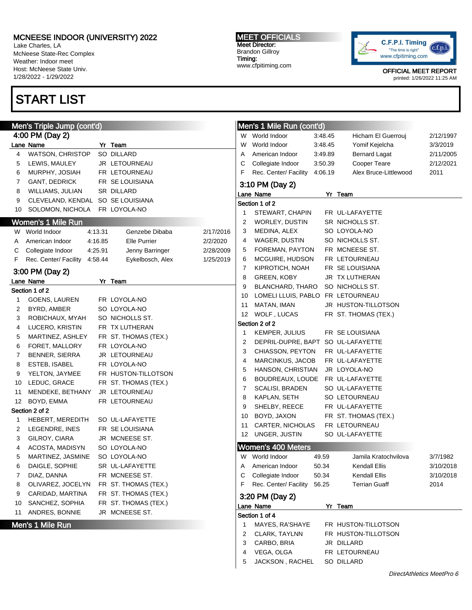Lake Charles, LA McNeese State-Rec Complex Weather: Indoor meet Host: McNeese State Univ. 1/28/2022 - 1/29/2022

## START LIST

Section 1 of 2

Section 2 of 2

#### MEET OFFICIALS Meet Director: Brandon Gillroy Timing:

www.cfpitiming.com



OFFICIAL MEET REPORT

printed: 1/26/2022 11:25 AM

|                   | Men's Triple Jump (cont'd)         |         |                      |           |        | Men's 1 Mile Run (cont'd)          |         |                       |                           |
|-------------------|------------------------------------|---------|----------------------|-----------|--------|------------------------------------|---------|-----------------------|---------------------------|
|                   | 4:00 PM (Day 2)                    |         |                      |           |        | W World Indoor                     | 3:48.45 | Hicham El Guerrouj    | 2/12/1997                 |
|                   | ane Name                           |         | Yr Team              |           | w      | World Indoor                       | 3:48.45 | Yomif Kejelcha        | 3/3/2019                  |
| 4                 | <b>WATSON, CHRISTOP</b>            |         | SO DILLARD           |           | Α      | American Indoor                    | 3:49.89 | <b>Bernard Lagat</b>  | 2/11/2005                 |
| 5                 | LEWIS, MAULEY                      |         | JR LETOURNEAU        |           | С      | Collegiate Indoor                  | 3:50.39 | Cooper Teare          | 2/12/2021                 |
| 6                 | MURPHY, JOSIAH                     |         | FR LETOURNEAU        |           | F      | Rec. Center/ Facility              | 4:06.19 | Alex Bruce-Littlewood | 2011                      |
| 7                 | <b>GANT, DEDRICK</b>               |         | FR SE LOUISIANA      |           |        | 3:10 PM (Day 2)                    |         |                       |                           |
| 8                 | WILLIAMS, JULIAN                   |         | SR DILLARD           |           |        | Lane Name                          |         | Yr Team               |                           |
| 9                 | CLEVELAND, KENDAL SO SE LOUISIANA  |         |                      |           |        | Section 1 of 2                     |         |                       |                           |
|                   | 10 SOLOMON, NICHOLA                |         | FR LOYOLA-NO         |           | 1      | STEWART, CHAPIN                    |         | FR UL-LAFAYETTE       |                           |
|                   | Women's 1 Mile Run                 |         |                      |           | 2      | WORLEY, DUSTIN                     |         | SR NICHOLLS ST.       |                           |
|                   | W World Indoor                     | 4:13.31 | Genzebe Dibaba       | 2/17/2016 | 3      | MEDINA, ALEX                       |         | SO LOYOLA-NO          |                           |
| A                 | American Indoor                    | 4:16.85 | <b>Elle Purrier</b>  | 2/2/2020  | 4      | WAGER, DUSTIN                      |         | SO NICHOLLS ST.       |                           |
| С                 | Collegiate Indoor                  | 4:25.91 | Jenny Barringer      | 2/28/2009 | 5      | FOREMAN, PAYTON                    |         | FR MCNEESE ST.        |                           |
| F.                | Rec. Center/ Facility              | 4:58.44 | Eykelbosch, Alex     | 1/25/2019 | 6      | MCGUIRE, HUDSON                    |         | FR LETOURNEAU         |                           |
|                   |                                    |         |                      |           | 7      | KIPROTICH, NOAH                    |         | FR SE LOUISIANA       |                           |
|                   | 3:00 PM (Day 2)                    |         |                      |           | 8      | <b>GREEN, KOBY</b>                 |         | JR TX LUTHERAN        |                           |
|                   | ane Name.                          |         | Yr Team              |           | 9      | BLANCHARD, THARO                   |         | SO NICHOLLS ST.       |                           |
|                   | Section 1 of 2<br>GOENS, LAUREN    |         | FR LOYOLA-NO         |           | 10     | LOMELI LLUIS, PABLO FR LETOURNEAU  |         |                       |                           |
| $\mathbf{1}$<br>2 | BYRD, AMBER                        |         | SO LOYOLA-NO         |           | 11     | MATAN, IMAN                        |         | JR HUSTON-TILLOTSON   |                           |
|                   |                                    |         | SO NICHOLLS ST.      |           | 12     | WOLF, LUCAS                        |         | FR ST. THOMAS (TEX.)  |                           |
| 3<br>4            | ROBICHAUX, MYAH<br>LUCERO, KRISTIN |         | FR TX LUTHERAN       |           |        | Section 2 of 2                     |         |                       |                           |
|                   | MARTINEZ, ASHLEY                   |         | FR ST. THOMAS (TEX.) |           | 1      | KEMPER, JULIUS                     |         | FR SE LOUISIANA       |                           |
| 5<br>6            | FORET, MALLORY                     |         | FR LOYOLA-NO         |           | 2      | DEPRIL-DUPRE, BAPT SO UL-LAFAYETTE |         |                       |                           |
| 7                 | BENNER, SIERRA                     |         | JR LETOURNEAU        |           | 3      | CHIASSON, PEYTON                   |         | FR UL-LAFAYETTE       |                           |
| 8                 | ESTEB, ISABEL                      |         | FR LOYOLA-NO         |           | 4      | MARCINKUS, JACOB                   |         | FR UL-LAFAYETTE       |                           |
| 9                 | YELTON, JAYMEE                     |         | FR HUSTON-TILLOTSON  |           | 5      | HANSON, CHRISTIAN                  |         | JR LOYOLA-NO          |                           |
| 10                | LEDUC, GRACE                       |         | FR ST. THOMAS (TEX.) |           | 6      | BOUDREAUX, LOUDE FR UL-LAFAYETTE   |         |                       |                           |
| 11                | MENDEKE, BETHANY                   |         | JR LETOURNEAU        |           | 7      | <b>SCALISI, BRADEN</b>             |         | SO UL-LAFAYETTE       |                           |
|                   | 12 BOYD, EMMA                      |         | FR LETOURNEAU        |           | 8      | KAPLAN, SETH                       |         | SO LETOURNEAU         |                           |
|                   | Section 2 of 2                     |         |                      |           | 9      | SHELBY, REECE                      |         | FR UL-LAFAYETTE       |                           |
| $\mathbf{1}$      | HEBERT, MEREDITH                   |         | SO UL-LAFAYETTE      |           | 10     | BOYD, JAXON                        |         | FR ST. THOMAS (TEX.)  |                           |
| 2                 | LEGENDRE, INES                     |         | FR SE LOUISIANA      |           | 11     | CARTER, NICHOLAS                   |         | FR LETOURNEAU         |                           |
| 3                 | GILROY, CIARA                      |         | JR MCNEESE ST.       |           | 12     | UNGER, JUSTIN                      |         | SO UL-LAFAYETTE       |                           |
| 4                 | ACOSTA, MADISYN                    |         | SO LOYOLA-NO         |           |        | <b>Women's 400 Meters</b>          |         |                       |                           |
| 5                 | MARTINEZ, JASMINE                  |         | SO LOYOLA-NO         |           |        | W World Indoor                     | 49.59   | Jamila Kratochvilova  | 3/7/1982                  |
| 6                 | DAIGLE, SOPHIE                     |         | SR UL-LAFAYETTE      |           |        | American Indoor                    | 50.34   | Kendall Ellis         | 3/10/2018                 |
| 7                 | DIAZ, DANNA                        |         | FR MCNEESE ST.       |           | С      | Collegiate Indoor                  | 50.34   | Kendall Ellis         | 3/10/2018                 |
| 8                 | OLIVAREZ, JOCELYN                  |         | FR ST. THOMAS (TEX.) |           | F      | Rec. Center/ Facility              | 56.25   | <b>Terrian Guaff</b>  | 2014                      |
| 9                 | CARIDAD, MARTINA                   |         | FR ST. THOMAS (TEX.) |           |        |                                    |         |                       |                           |
| 10                | SANCHEZ, SOPHIA                    |         | FR ST. THOMAS (TEX.) |           |        | 3:20 PM (Day 2)                    |         |                       |                           |
|                   | 11 ANDRES, BONNIE                  |         | JR MCNEESE ST.       |           |        | Lane Name<br>Section 1 of 4        |         | Yr Team               |                           |
|                   |                                    |         |                      |           |        | MAYES, RA'SHAYE                    |         | FR HUSTON-TILLOTSON   |                           |
|                   | Men's 1 Mile Run                   |         |                      |           |        |                                    |         | FR HUSTON-TILLOTSON   |                           |
|                   |                                    |         |                      |           | 2<br>3 | CLARK, TAYLNN<br>CARBO, BRIA       |         | JR DILLARD            |                           |
|                   |                                    |         |                      |           |        | VEGA, OLGA                         |         | FR LETOURNEAU         |                           |
|                   |                                    |         |                      |           | 4<br>5 |                                    |         |                       |                           |
|                   |                                    |         |                      |           |        | JACKSON, RACHEL                    |         | SO DILLARD            |                           |
|                   |                                    |         |                      |           |        |                                    |         |                       | DirectAthletics MeetPro 6 |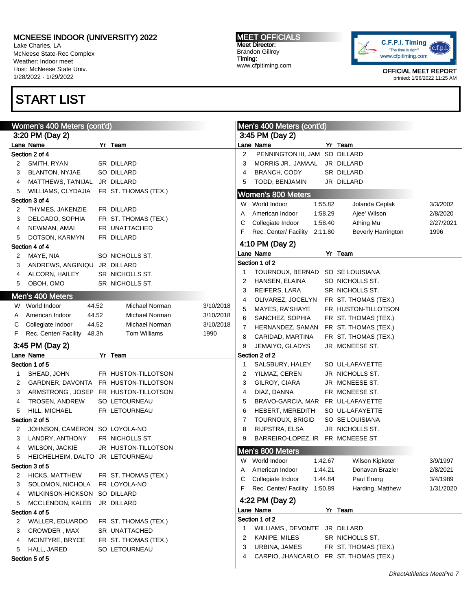Lake Charles, LA McNeese State-Rec Complex Weather: Indoor meet Host: McNeese State Univ. 1/28/2022 - 1/29/2022

# START LIST

#### MEET OFFICIALS Meet Director: Brandon Gillroy Timing: www.cfpitiming.com



|   | Women's 400 Meters (cont'd)             |                      |           |        | Men's 400 Meters (cont'd)     |         |                                |           |
|---|-----------------------------------------|----------------------|-----------|--------|-------------------------------|---------|--------------------------------|-----------|
|   | 3:20 PM (Day 2)                         |                      |           |        | 3:45 PM (Day 2)               |         |                                |           |
|   | Lane Name                               | Yr Team              |           |        | Lane Name                     |         | Yr Team                        |           |
|   | Section 2 of 4                          |                      |           | 2      | PENNINGTON III, JAM           |         | SO DILLARD                     |           |
| 2 | SMITH, RYAN                             | SR DILLARD           |           | 3      | MORRIS JR., JAMAAL            |         | JR DILLARD                     |           |
| 3 | <b>BLANTON, NYJAE</b>                   | SO DILLARD           |           | 4      | <b>BRANCH, CODY</b>           |         | SR DILLARD                     |           |
| 4 | MATTHEWS, TA'NIJAL                      | JR DILLARD           |           | 5      | TODD, BENJAMIN                |         | JR DILLARD                     |           |
| 5 | WILLIAMS, CLYDAJIA                      | FR ST. THOMAS (TEX.) |           |        | <b>Women's 800 Meters</b>     |         |                                |           |
|   | Section 3 of 4                          |                      |           |        | W World Indoor                | 1:55.82 |                                | 3/3/2002  |
| 2 | THYMES, JAKENZIE                        | FR DILLARD           |           |        | American Indoor               | 1:58.29 | Jolanda Ceplak<br>Ajee' Wilson |           |
| 3 | DELGADO, SOPHIA                         | FR ST. THOMAS (TEX.) |           | Α      | Collegiate Indoor             | 1:58.40 |                                | 2/8/2020  |
| 4 | NEWMAN, AMAI                            | FR UNATTACHED        |           | С<br>F |                               |         | Athing Mu                      | 2/27/2021 |
| 5 | DOTSON, KARMYN                          | FR DILLARD           |           |        | Rec. Center/ Facility 2:11.80 |         | <b>Beverly Harrington</b>      | 1996      |
|   | Section 4 of 4                          |                      |           |        | 4:10 PM (Day 2)               |         |                                |           |
| 2 | MAYE, NIA                               | SO NICHOLLS ST.      |           |        | Lane Name                     |         | Yr Team                        |           |
| 3 | ANDREWS, ANGINIQU JR DILLARD            |                      |           |        | Section 1 of 2                |         |                                |           |
| 4 | ALCORN, HAILEY                          | SR NICHOLLS ST.      |           | 1      | TOURNOUX, BERNAD              |         | SO SE LOUISIANA                |           |
| 5 | OBOH, OMO                               | SR NICHOLLS ST.      |           | 2      | HANSEN, ELAINA                |         | SO NICHOLLS ST.                |           |
|   |                                         |                      |           | 3      | REIFERS, LARA                 |         | SR NICHOLLS ST.                |           |
|   | Men's 400 Meters                        |                      |           | 4      | OLIVAREZ, JOCELYN             |         | FR ST. THOMAS (TEX.)           |           |
|   | W World Indoor<br>44.52                 | Michael Norman       | 3/10/2018 | 5      | MAYES, RA'SHAYE               |         | FR HUSTON-TILLOTSON            |           |
| A | American Indoor<br>44.52                | Michael Norman       | 3/10/2018 | 6      | SANCHEZ, SOPHIA               |         | FR ST. THOMAS (TEX.)           |           |
| С | Collegiate Indoor<br>44.52              | Michael Norman       | 3/10/2018 | 7      | HERNANDEZ, SAMAN              |         | FR ST. THOMAS (TEX.)           |           |
| F | Rec. Center/ Facility<br>48.3h          | Tom Williams         | 1990      | 8      | CARIDAD, MARTINA              |         | FR ST. THOMAS (TEX.)           |           |
|   | 3:45 PM (Day 2)                         |                      |           | 9      | JEMAIYO, GLADYS               |         | JR MCNEESE ST.                 |           |
|   | Lane Name                               | Yr Team              |           |        | Section 2 of 2                |         |                                |           |
|   | Section 1 of 5                          |                      |           | 1      | SALSBURY, HALEY               |         | SO UL-LAFAYETTE                |           |
|   | SHEAD, JOHN                             | FR HUSTON-TILLOTSON  |           | 2      | YILMAZ, CEREN                 |         | JR NICHOLLS ST.                |           |
| 1 |                                         |                      |           | 3      | GILROY, CIARA                 |         | JR MCNEESE ST.                 |           |
| 2 | GARDNER, DAVONTA FR HUSTON-TILLOTSON    |                      |           |        |                               |         | FR MCNEESE ST.                 |           |
| 3 | ARMSTRONG, JOSEP FR HUSTON-TILLOTSON    |                      |           | 4      | DIAZ, DANNA                   |         |                                |           |
| 4 | TROSEN, ANDREW                          | SO LETOURNEAU        |           | 5      | BRAVO-GARCIA, MAR             |         | FR UL-LAFAYETTE                |           |
| 5 | HILL, MICHAEL                           | FR LETOURNEAU        |           | 6      | HEBERT, MEREDITH              |         | SO UL-LAFAYETTE                |           |
|   | Section 2 of 5                          |                      |           | 7      | TOURNOUX, BRIGID              |         | SO SE LOUISIANA                |           |
| 2 | JOHNSON, CAMERON SO LOYOLA-NO           |                      |           | 8      | RIJPSTRA, ELSA                |         | JR NICHOLLS ST.                |           |
| 3 | LANDRY, ANTHONY                         | FR NICHOLLS ST.      |           | 9      | BARREIRO-LOPEZ, IR            |         | FR MCNEESE ST.                 |           |
| 4 | <b>WILSON, JACKIE</b>                   | JR HUSTON-TILLOTSON  |           |        |                               |         |                                |           |
| 5 | HEICHELHEIM, DALTO JR LETOURNEAU        |                      |           |        | Men's 800 Meters              |         |                                |           |
|   |                                         |                      |           |        | W World Indoor                | 1:42.67 | Wilson Kipketer                | 3/9/1997  |
| 2 | Section 3 of 5<br><b>HICKS, MATTHEW</b> |                      |           | A      | American Indoor               | 1:44.21 | Donavan Brazier                | 2/8/2021  |
| 3 |                                         | FR ST. THOMAS (TEX.) |           | С      | Collegiate Indoor             | 1:44.84 | Paul Ereng                     | 3/4/1989  |
|   | SOLOMON, NICHOLA                        | FR LOYOLA-NO         |           | F      | Rec. Center/ Facility         | 1:50.89 | Harding, Matthew               | 1/31/2020 |
| 4 | WILKINSON-HICKSON                       | SO DILLARD           |           |        | 4:22 PM (Day 2)               |         |                                |           |
| 5 | MCCLENDON, KALEB                        | JR DILLARD           |           |        | Lane Name                     |         | Yr Team                        |           |
|   | Section 4 of 5                          |                      |           |        | Section 1 of 2                |         |                                |           |
| 2 | WALLER, EDUARDO                         | FR ST. THOMAS (TEX.) |           | 1      | WILLIAMS, DEVONTE             |         | JR DILLARD                     |           |
| 3 | CROWDER, MAX                            | SR UNATTACHED        |           | 2      | KANIPE, MILES                 |         | SR NICHOLLS ST.                |           |
| 4 | MCINTYRE, BRYCE                         | FR ST. THOMAS (TEX.) |           | 3      | URBINA, JAMES                 |         | FR ST. THOMAS (TEX.)           |           |
| 5 | HALL, JARED<br>Section 5 of 5           | SO LETOURNEAU        |           | 4      | CARPIO, JHANCARLO             |         | FR ST. THOMAS (TEX.)           |           |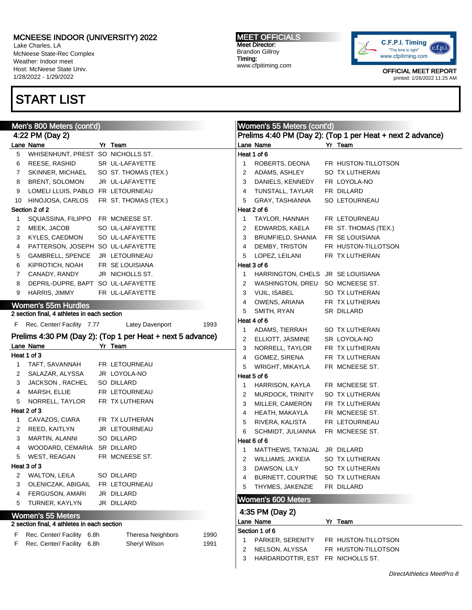Lake Charles, LA McNeese State-Rec Complex Weather: Indoor meet Host: McNeese State Univ. 1/28/2022 - 1/29/2022

# START LIST

MEET OFFICIALS Meet Director: Brandon Gillroy Timing: www.cfpitiming.com



| Men's 800 Meters (cont'd) |                                             |  |                                                            |      | Women's 55 Meters (cont'd) |                                   |  |                                                            |  |
|---------------------------|---------------------------------------------|--|------------------------------------------------------------|------|----------------------------|-----------------------------------|--|------------------------------------------------------------|--|
|                           | 4:22 PM (Day 2)                             |  |                                                            |      |                            |                                   |  | Prelims 4:40 PM (Day 2): (Top 1 per Heat + next 2 advance) |  |
|                           | Lane Name                                   |  | Yr Team                                                    |      |                            | Lane Name                         |  | Yr Team                                                    |  |
| 5                         | WHISENHUNT, PREST SO NICHOLLS ST.           |  |                                                            |      |                            | Heat 1 of 6                       |  |                                                            |  |
| 6                         | REESE, RASHID                               |  | SR UL-LAFAYETTE                                            |      | 1                          | ROBERTS, DEONA                    |  | FR HUSTON-TILLOTSON                                        |  |
| 7                         | SKINNER, MICHAEL                            |  | SO ST. THOMAS (TEX.)                                       |      | 2                          | ADAMS, ASHLEY                     |  | SO TX LUTHERAN                                             |  |
| 8                         | BRENT, SOLOMON                              |  | JR UL-LAFAYETTE                                            |      | 3                          | DANIELS, KENNEDY                  |  | FR LOYOLA-NO                                               |  |
| 9                         | LOMELI LLUIS, PABLO FR LETOURNEAU           |  |                                                            |      | 4                          | TUNSTALL, TAYLAR                  |  | FR DILLARD                                                 |  |
| 10                        | HINOJOSA, CARLOS                            |  | FR ST. THOMAS (TEX.)                                       |      | 5                          | GRAY, TASHIANNA                   |  | SO LETOURNEAU                                              |  |
|                           | Section 2 of 2                              |  |                                                            |      |                            | Heat 2 of 6                       |  |                                                            |  |
| 1                         | SQUASSINA, FILIPPO                          |  | FR MCNEESE ST.                                             |      | -1                         | TAYLOR, HANNAH                    |  | FR LETOURNEAU                                              |  |
| 2                         | MEEK, JACOB                                 |  | SO UL-LAFAYETTE                                            |      | 2                          | EDWARDS, KAELA                    |  | FR ST. THOMAS (TEX.)                                       |  |
| 3                         | KYLES, CAEDMON                              |  | SO UL-LAFAYETTE                                            |      | 3                          | BRUMFIELD, SHANIA                 |  | FR SE LOUISIANA                                            |  |
| 4                         | PATTERSON, JOSEPH SO UL-LAFAYETTE           |  |                                                            |      | 4                          | DEMBY, TRISTON                    |  | FR HUSTON-TILLOTSON                                        |  |
| 5                         | GAMBRELL, SPENCE                            |  | JR LETOURNEAU                                              |      | 5                          | LOPEZ, LEILANI                    |  | FR TX LUTHERAN                                             |  |
| 6                         | KIPROTICH, NOAH                             |  | FR SE LOUISIANA                                            |      |                            | Heat 3 of 6                       |  |                                                            |  |
| 7                         | CANADY, RANDY                               |  | JR NICHOLLS ST.                                            |      | 1                          | HARRINGTON, CHELS JR SE LOUISIANA |  |                                                            |  |
| 8                         | DEPRIL-DUPRE, BAPT SO UL-LAFAYETTE          |  |                                                            |      | 2                          | WASHINGTON, DREU SO MCNEESE ST.   |  |                                                            |  |
| 9                         | <b>HARRIS, JIMMY</b>                        |  | FR UL-LAFAYETTE                                            |      | 3                          | VIJIL, ISABEL                     |  | SO TX LUTHERAN                                             |  |
|                           |                                             |  |                                                            |      |                            |                                   |  |                                                            |  |
|                           | <b>Women's 55m Hurdles</b>                  |  |                                                            |      | 4                          | OWENS, ARIANA                     |  | FR TX LUTHERAN                                             |  |
|                           | 2 section final, 4 athletes in each section |  |                                                            |      | 5                          | SMITH, RYAN                       |  | SR DILLARD                                                 |  |
|                           | F Rec. Center/ Facility 7.77                |  | Latey Davenport                                            | 1993 |                            | Heat 4 of 6                       |  |                                                            |  |
|                           |                                             |  | Prelims 4:30 PM (Day 2): (Top 1 per Heat + next 5 advance) |      | 1                          | ADAMS, TIERRAH                    |  | SO TX LUTHERAN                                             |  |
|                           | Lane Name                                   |  | Yr Team                                                    |      | 2                          | ELLIOTT, JASMINE                  |  | SR LOYOLA-NO                                               |  |
|                           | Heat 1 of 3                                 |  |                                                            |      | 3                          | NORRELL, TAYLOR                   |  | FR TX LUTHERAN                                             |  |
|                           | TAFT, SAVANNAH                              |  | FR LETOURNEAU                                              |      | 4                          | GOMEZ, SIRENA                     |  | FR TX LUTHERAN                                             |  |
| 1                         | SALAZAR, ALYSSA                             |  | JR LOYOLA-NO                                               |      | 5                          | WRIGHT, MIKAYLA                   |  | FR MCNEESE ST.                                             |  |
| 2                         |                                             |  |                                                            |      |                            | Heat 5 of 6                       |  |                                                            |  |
| 3                         | JACKSON, RACHEL                             |  | SO DILLARD                                                 |      | 1                          | HARRISON, KAYLA                   |  | FR MCNEESE ST.                                             |  |
| 4                         | MARSH, ELLIE                                |  | FR LETOURNEAU                                              |      | 2                          | MURDOCK, TRINITY                  |  | SO TX LUTHERAN                                             |  |
| 5                         | NORRELL, TAYLOR                             |  | FR TX LUTHERAN                                             |      | 3                          | MILLER, CAMERON                   |  | FR TX LUTHERAN                                             |  |
|                           | Heat 2 of 3                                 |  |                                                            |      | 4                          | HEATH, MAKAYLA                    |  | FR MCNEESE ST.                                             |  |
| 1                         | CAVAZOS, CIARA                              |  | FR TX LUTHERAN                                             |      | 5                          | RIVERA, KALISTA                   |  | FR LETOURNEAU                                              |  |
| 2                         | REED, KAITLYN                               |  | JR LETOURNEAU                                              |      | 6                          | SCHMIDT, JULIANNA                 |  | FR MCNEESE ST.                                             |  |
| 3                         | MARTIN, ALANNI                              |  | SO DILLARD                                                 |      |                            | Heat 6 of 6                       |  |                                                            |  |
| 4                         | WOODARD, CEMARIA SR DILLARD                 |  |                                                            |      | $\mathbf{1}$               | MATTHEWS, TA'NIJAL JR DILLARD     |  |                                                            |  |
| 5                         | WEST, REAGAN                                |  | FR MCNEESE ST.                                             |      | 2                          | WILLIAMS, JA'KEIA                 |  | SO TX LUTHERAN                                             |  |
|                           | Heat 3 of 3                                 |  |                                                            |      | 3                          | DAWSON, LILY                      |  | SO TX LUTHERAN                                             |  |
| 2                         | <b>WALTON, LEILA</b>                        |  | SO DILLARD                                                 |      | 4                          | BURNETT, COURTNE                  |  | SO TX LUTHERAN                                             |  |
| 3                         | OLENICZAK, ABIGAIL                          |  | FR LETOURNEAU                                              |      | 5                          | THYMES, JAKENZIE                  |  | FR DILLARD                                                 |  |
| 4                         | FERGUSON, AMARI                             |  | JR DILLARD                                                 |      |                            |                                   |  |                                                            |  |
| 5                         | TURNER, KAYLYN                              |  | JR DILLARD                                                 |      |                            | <b>Women's 600 Meters</b>         |  |                                                            |  |
|                           | <b>Women's 55 Meters</b>                    |  |                                                            |      |                            | 4:35 PM (Day 2)                   |  |                                                            |  |
|                           | 2 section final, 4 athletes in each section |  |                                                            |      |                            | Lane Name                         |  | Yr Team                                                    |  |
|                           |                                             |  |                                                            |      |                            | Section 1 of 6                    |  |                                                            |  |
| F                         | Rec. Center/ Facility 6.8h                  |  | Theresa Neighbors                                          | 1990 |                            | PARKER, SERENITY                  |  | FR HUSTON-TILLOTSON                                        |  |
| F.                        | Rec. Center/ Facility 6.8h                  |  | Sheryl Wilson                                              | 1991 | 2                          | NELSON, ALYSSA                    |  | FR HUSTON-TILLOTSON                                        |  |
|                           |                                             |  |                                                            |      | 3                          | HARDARDOTTIR, EST FR NICHOLLS ST. |  |                                                            |  |
|                           |                                             |  |                                                            |      |                            |                                   |  |                                                            |  |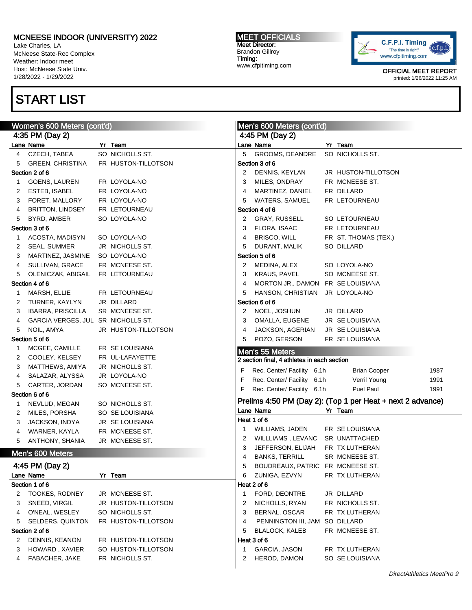Lake Charles, LA McNeese State-Rec Complex Weather: Indoor meet Host: McNeese State Univ. 1/28/2022 - 1/29/2022

## START LIST

#### MEET OFFICIALS Meet Director: Brandon Gillroy Timing: www.cfpitiming.com



|              | Women's 600 Meters (cont'd)        |                     |    | Men's 600 Meters (cont'd)                   |                                                            |      |
|--------------|------------------------------------|---------------------|----|---------------------------------------------|------------------------------------------------------------|------|
|              | 4:35 PM (Day 2)                    |                     |    | 4:45 PM (Day 2)                             |                                                            |      |
|              | Lane Name                          | Yr Team             |    | Lane Name                                   | Yr Team                                                    |      |
| 4            | CZECH, TABEA                       | SO NICHOLLS ST.     | 5  | GROOMS, DEANDRE                             | SO NICHOLLS ST.                                            |      |
| 5            | <b>GREEN, CHRISTINA</b>            | FR HUSTON-TILLOTSON |    | Section 3 of 6                              |                                                            |      |
|              | Section 2 of 6                     |                     | 2  | DENNIS, KEYLAN                              | JR HUSTON-TILLOTSON                                        |      |
| $\mathbf{1}$ | GOENS, LAUREN                      | FR LOYOLA-NO        | 3  | MILES, ONDRAY                               | FR MCNEESE ST.                                             |      |
| 2            | ESTEB, ISABEL                      | FR LOYOLA-NO        | 4  | MARTINEZ, DANIEL                            | FR DILLARD                                                 |      |
| 3            | FORET, MALLORY                     | FR LOYOLA-NO        | 5  | WATERS, SAMUEL                              | FR LETOURNEAU                                              |      |
| 4            | BRITTON, LINDSEY                   | FR LETOURNEAU       |    | Section 4 of 6                              |                                                            |      |
| 5            | BYRD, AMBER                        | SO LOYOLA-NO        | 2  | GRAY, RUSSELL                               | SO LETOURNEAU                                              |      |
|              | Section 3 of 6                     |                     | 3  | FLORA, ISAAC                                | FR LETOURNEAU                                              |      |
| $\mathbf{1}$ | ACOSTA, MADISYN                    | SO LOYOLA-NO        | 4  | BRISCO, WILL                                | FR ST. THOMAS (TEX.)                                       |      |
| 2            | SEAL, SUMMER                       | JR NICHOLLS ST.     | 5  | DURANT, MALIK                               | SO DILLARD                                                 |      |
| 3            | MARTINEZ, JASMINE                  | SO LOYOLA-NO        |    | Section 5 of 6                              |                                                            |      |
| 4            | SULLIVAN, GRACE                    | FR MCNEESE ST.      | 2  | MEDINA, ALEX                                | SO LOYOLA-NO                                               |      |
| 5            | OLENICZAK, ABIGAIL FR LETOURNEAU   |                     | 3  | KRAUS, PAVEL                                | SO MCNEESE ST.                                             |      |
|              | Section 4 of 6                     |                     | 4  | MORTON JR., DAMON FR SE LOUISIANA           |                                                            |      |
| $\mathbf{1}$ | MARSH, ELLIE                       | FR LETOURNEAU       | 5  | HANSON, CHRISTIAN                           | JR LOYOLA-NO                                               |      |
| 2            | TURNER, KAYLYN                     | JR DILLARD          |    | Section 6 of 6                              |                                                            |      |
| 3            | <b>IBARRA, PRISCILLA</b>           | SR MCNEESE ST.      | 2  | NOEL, JOSHUN                                | JR DILLARD                                                 |      |
| 4            | GARCIA VERGES, JUL SR NICHOLLS ST. |                     | 3  | OMALLA, EUGENE                              | JR SE LOUISIANA                                            |      |
| 5            | NOIL, AMYA                         | JR HUSTON-TILLOTSON | 4  | JACKSON, AGERIAN                            | JR SE LOUISIANA                                            |      |
|              | Section 5 of 6                     |                     | 5  | POZO, GERSON                                | FR SE LOUISIANA                                            |      |
| $\mathbf{1}$ | MCGEE, CAMILLE                     | FR SE LOUISIANA     |    |                                             |                                                            |      |
| 2            | COOLEY, KELSEY                     | FR UL-LAFAYETTE     |    | Men's 55 Meters                             |                                                            |      |
| 3            | MATTHEWS, AMIYA                    | JR NICHOLLS ST.     |    | 2 section final, 4 athletes in each section |                                                            |      |
| 4            | SALAZAR, ALYSSA                    | JR LOYOLA-NO        | F  | Rec. Center/ Facility 6.1h                  | <b>Brian Cooper</b>                                        | 1987 |
| 5            | CARTER, JORDAN                     | SO MCNEESE ST.      | F  | Rec. Center/ Facility 6.1h                  | Verril Young                                               | 1991 |
|              | Section 6 of 6                     |                     | F  | Rec. Center/ Facility 6.1h                  | Puel Paul                                                  | 1991 |
| $\mathbf{1}$ | NEVLUD, MEGAN                      | SO NICHOLLS ST.     |    |                                             | Prelims 4:50 PM (Day 2): (Top 1 per Heat + next 2 advance) |      |
| 2            | MILES, PORSHA                      | SO SE LOUISIANA     |    | Lane Name                                   | Yr Team                                                    |      |
| 3            | JACKSON, INDYA                     | JR SE LOUISIANA     |    | Heat 1 of 6                                 |                                                            |      |
| 4            | WARNER, KAYLA                      | FR MCNEESE ST.      | -1 | WILLIAMS, JADEN                             | FR SE LOUISIANA                                            |      |
| 5            | ANTHONY, SHANIA                    | JR MCNEESE ST.      | 2  | WILLLIAMS, LEVANC                           | SR UNATTACHED                                              |      |
|              |                                    |                     | 3  | JEFFERSON, ELIJAH                           | FR TX LUTHERAN                                             |      |
|              | Men's 600 Meters                   |                     | 4  | <b>BANKS, TERRILL</b>                       | SR MCNEESE ST.                                             |      |
|              | 4:45 PM (Day 2)                    |                     | 5  | BOUDREAUX, PATRIC FR MCNEESE ST.            |                                                            |      |
|              | Lane Name                          | Yr Team             | 6  | ZUNIGA, EZVYN                               | FR TX LUTHERAN                                             |      |
|              | Section 1 of 6                     |                     |    | Heat 2 of 6                                 |                                                            |      |
| 2            | <b>TOOKES, RODNEY</b>              | JR MCNEESE ST.      | -1 | FORD, DEONTRE                               | JR DILLARD                                                 |      |
| 3            | SNEED, VIRGIL                      | JR HUSTON-TILLOTSON | 2  | NICHOLLS, RYAN                              | FR NICHOLLS ST.                                            |      |
| 4            | O'NEAL, WESLEY                     | SO NICHOLLS ST.     | 3  | BERNAL, OSCAR                               | FR TX LUTHERAN                                             |      |
| 5            | SELDERS, QUINTON                   | FR HUSTON-TILLOTSON | 4  | PENNINGTON III, JAM                         | SO DILLARD                                                 |      |
|              | Section 2 of 6                     |                     | 5  | <b>BLALOCK, KALEB</b>                       | FR MCNEESE ST.                                             |      |
| 2            | DENNIS, KEANON                     | FR HUSTON-TILLOTSON |    | Heat 3 of 6                                 |                                                            |      |
| 3            | HOWARD, XAVIER                     | SO HUSTON-TILLOTSON | 1  | GARCIA, JASON                               | FR TX LUTHERAN                                             |      |
| 4            | FABACHER, JAKE                     | FR NICHOLLS ST.     | 2  | HEROD, DAMON                                | SO SE LOUISIANA                                            |      |
|              |                                    |                     |    |                                             |                                                            |      |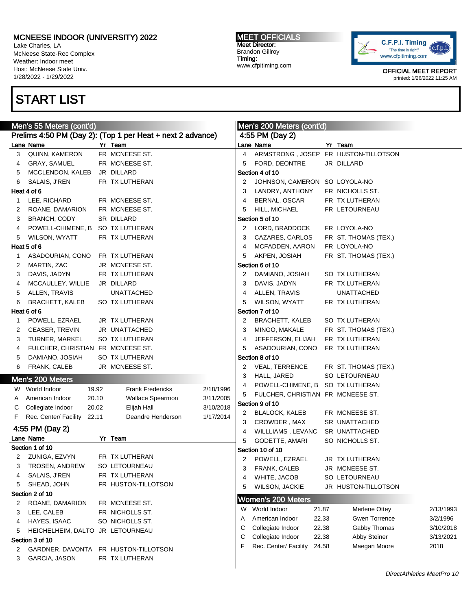Lake Charles, LA McNeese State-Rec Complex Weather: Indoor meet Host: McNeese State Univ. 1/28/2022 - 1/29/2022

## START LIST

#### MEET OFFICIALS Meet Director: Brandon Gillroy Timing: www.cfpitiming.com



| Prelims 4:50 PM (Day 2): (Top 1 per Heat + next 2 advance)<br>4:55 PM (Day 2)<br>Lane Name<br>Yr Team<br>Lane Name<br>Yr Team<br>QUINN, KAMERON<br>FR MCNEESE ST.<br>$\overline{4}$<br>ARMSTRONG, JOSEP FR HUSTON-TILLOTSON<br>3<br>GRAY, SAMUEL<br>FR MCNEESE ST.<br>FORD, DEONTRE<br>JR DILLARD<br>5<br>4<br>MCCLENDON, KALEB<br>JR DILLARD<br>Section 4 of 10<br>5<br>FR TX LUTHERAN<br>JOHNSON, CAMERON SO LOYOLA-NO<br>6<br>SALAIS, J'REN<br>2<br>Heat 4 of 6<br>FR NICHOLLS ST.<br>LANDRY, ANTHONY<br>3<br>LEE, RICHARD<br>FR MCNEESE ST.<br>FR TX LUTHERAN<br>4<br>BERNAL, OSCAR<br>1<br>FR MCNEESE ST.<br>HILL, MICHAEL<br>FR LETOURNEAU<br>ROANE, DAMARION<br>5<br>2<br>SR DILLARD<br>Section 5 of 10<br>3<br><b>BRANCH, CODY</b><br>POWELL-CHIMENE, B SO TX LUTHERAN<br>FR LOYOLA-NO<br>LORD, BRADDOCK<br>4<br>2<br>FR TX LUTHERAN<br>WILSON, WYATT<br>3<br>CAZARES, CARLOS<br>FR ST. THOMAS (TEX.)<br>5<br>Heat 5 of 6<br>FR LOYOLA-NO<br>MCFADDEN, AARON<br>4<br>ASADOURIAN, CONO<br>FR TX LUTHERAN<br>AKPEN, JOSIAH<br>FR ST. THOMAS (TEX.)<br>5<br>1<br>MARTIN, ZAC<br>JR MCNEESE ST.<br>Section 6 of 10<br>2<br>FR TX LUTHERAN<br>DAMIANO, JOSIAH<br>SO TX LUTHERAN<br>3<br>DAVIS, JADYN<br>2<br>DAVIS, JADYN<br>FR TX LUTHERAN<br>MCCAULLEY, WILLIE<br>JR DILLARD<br>3<br>4<br><b>UNATTACHED</b><br><b>UNATTACHED</b><br>5<br>ALLEN, TRAVIS<br>ALLEN, TRAVIS<br>4<br>BRACHETT, KALEB<br>SO TX LUTHERAN<br>5<br>6<br>WILSON, WYATT<br>FR TX LUTHERAN<br>Heat 6 of 6<br>Section 7 of 10<br>POWELL, EZRAEL<br>JR TX LUTHERAN<br>BRACHETT, KALEB<br>SO TX LUTHERAN<br>2<br>1<br>JR UNATTACHED<br>MINGO, MAKALE<br>CEASER, TREVIN<br>3<br>FR ST. THOMAS (TEX.)<br>2<br>SO TX LUTHERAN<br>FR TX LUTHERAN<br>3<br>TURNER, MARKEL<br>JEFFERSON, ELIJAH<br>4<br>FULCHER, CHRISTIAN FR MCNEESE ST.<br>5 |           |
|---------------------------------------------------------------------------------------------------------------------------------------------------------------------------------------------------------------------------------------------------------------------------------------------------------------------------------------------------------------------------------------------------------------------------------------------------------------------------------------------------------------------------------------------------------------------------------------------------------------------------------------------------------------------------------------------------------------------------------------------------------------------------------------------------------------------------------------------------------------------------------------------------------------------------------------------------------------------------------------------------------------------------------------------------------------------------------------------------------------------------------------------------------------------------------------------------------------------------------------------------------------------------------------------------------------------------------------------------------------------------------------------------------------------------------------------------------------------------------------------------------------------------------------------------------------------------------------------------------------------------------------------------------------------------------------------------------------------------------------------------------------------------------------------------------------|-----------|
|                                                                                                                                                                                                                                                                                                                                                                                                                                                                                                                                                                                                                                                                                                                                                                                                                                                                                                                                                                                                                                                                                                                                                                                                                                                                                                                                                                                                                                                                                                                                                                                                                                                                                                                                                                                                               |           |
|                                                                                                                                                                                                                                                                                                                                                                                                                                                                                                                                                                                                                                                                                                                                                                                                                                                                                                                                                                                                                                                                                                                                                                                                                                                                                                                                                                                                                                                                                                                                                                                                                                                                                                                                                                                                               |           |
|                                                                                                                                                                                                                                                                                                                                                                                                                                                                                                                                                                                                                                                                                                                                                                                                                                                                                                                                                                                                                                                                                                                                                                                                                                                                                                                                                                                                                                                                                                                                                                                                                                                                                                                                                                                                               |           |
|                                                                                                                                                                                                                                                                                                                                                                                                                                                                                                                                                                                                                                                                                                                                                                                                                                                                                                                                                                                                                                                                                                                                                                                                                                                                                                                                                                                                                                                                                                                                                                                                                                                                                                                                                                                                               |           |
|                                                                                                                                                                                                                                                                                                                                                                                                                                                                                                                                                                                                                                                                                                                                                                                                                                                                                                                                                                                                                                                                                                                                                                                                                                                                                                                                                                                                                                                                                                                                                                                                                                                                                                                                                                                                               |           |
|                                                                                                                                                                                                                                                                                                                                                                                                                                                                                                                                                                                                                                                                                                                                                                                                                                                                                                                                                                                                                                                                                                                                                                                                                                                                                                                                                                                                                                                                                                                                                                                                                                                                                                                                                                                                               |           |
|                                                                                                                                                                                                                                                                                                                                                                                                                                                                                                                                                                                                                                                                                                                                                                                                                                                                                                                                                                                                                                                                                                                                                                                                                                                                                                                                                                                                                                                                                                                                                                                                                                                                                                                                                                                                               |           |
|                                                                                                                                                                                                                                                                                                                                                                                                                                                                                                                                                                                                                                                                                                                                                                                                                                                                                                                                                                                                                                                                                                                                                                                                                                                                                                                                                                                                                                                                                                                                                                                                                                                                                                                                                                                                               |           |
|                                                                                                                                                                                                                                                                                                                                                                                                                                                                                                                                                                                                                                                                                                                                                                                                                                                                                                                                                                                                                                                                                                                                                                                                                                                                                                                                                                                                                                                                                                                                                                                                                                                                                                                                                                                                               |           |
|                                                                                                                                                                                                                                                                                                                                                                                                                                                                                                                                                                                                                                                                                                                                                                                                                                                                                                                                                                                                                                                                                                                                                                                                                                                                                                                                                                                                                                                                                                                                                                                                                                                                                                                                                                                                               |           |
|                                                                                                                                                                                                                                                                                                                                                                                                                                                                                                                                                                                                                                                                                                                                                                                                                                                                                                                                                                                                                                                                                                                                                                                                                                                                                                                                                                                                                                                                                                                                                                                                                                                                                                                                                                                                               |           |
|                                                                                                                                                                                                                                                                                                                                                                                                                                                                                                                                                                                                                                                                                                                                                                                                                                                                                                                                                                                                                                                                                                                                                                                                                                                                                                                                                                                                                                                                                                                                                                                                                                                                                                                                                                                                               |           |
|                                                                                                                                                                                                                                                                                                                                                                                                                                                                                                                                                                                                                                                                                                                                                                                                                                                                                                                                                                                                                                                                                                                                                                                                                                                                                                                                                                                                                                                                                                                                                                                                                                                                                                                                                                                                               |           |
|                                                                                                                                                                                                                                                                                                                                                                                                                                                                                                                                                                                                                                                                                                                                                                                                                                                                                                                                                                                                                                                                                                                                                                                                                                                                                                                                                                                                                                                                                                                                                                                                                                                                                                                                                                                                               |           |
|                                                                                                                                                                                                                                                                                                                                                                                                                                                                                                                                                                                                                                                                                                                                                                                                                                                                                                                                                                                                                                                                                                                                                                                                                                                                                                                                                                                                                                                                                                                                                                                                                                                                                                                                                                                                               |           |
|                                                                                                                                                                                                                                                                                                                                                                                                                                                                                                                                                                                                                                                                                                                                                                                                                                                                                                                                                                                                                                                                                                                                                                                                                                                                                                                                                                                                                                                                                                                                                                                                                                                                                                                                                                                                               |           |
|                                                                                                                                                                                                                                                                                                                                                                                                                                                                                                                                                                                                                                                                                                                                                                                                                                                                                                                                                                                                                                                                                                                                                                                                                                                                                                                                                                                                                                                                                                                                                                                                                                                                                                                                                                                                               |           |
|                                                                                                                                                                                                                                                                                                                                                                                                                                                                                                                                                                                                                                                                                                                                                                                                                                                                                                                                                                                                                                                                                                                                                                                                                                                                                                                                                                                                                                                                                                                                                                                                                                                                                                                                                                                                               |           |
|                                                                                                                                                                                                                                                                                                                                                                                                                                                                                                                                                                                                                                                                                                                                                                                                                                                                                                                                                                                                                                                                                                                                                                                                                                                                                                                                                                                                                                                                                                                                                                                                                                                                                                                                                                                                               |           |
|                                                                                                                                                                                                                                                                                                                                                                                                                                                                                                                                                                                                                                                                                                                                                                                                                                                                                                                                                                                                                                                                                                                                                                                                                                                                                                                                                                                                                                                                                                                                                                                                                                                                                                                                                                                                               |           |
|                                                                                                                                                                                                                                                                                                                                                                                                                                                                                                                                                                                                                                                                                                                                                                                                                                                                                                                                                                                                                                                                                                                                                                                                                                                                                                                                                                                                                                                                                                                                                                                                                                                                                                                                                                                                               |           |
|                                                                                                                                                                                                                                                                                                                                                                                                                                                                                                                                                                                                                                                                                                                                                                                                                                                                                                                                                                                                                                                                                                                                                                                                                                                                                                                                                                                                                                                                                                                                                                                                                                                                                                                                                                                                               |           |
|                                                                                                                                                                                                                                                                                                                                                                                                                                                                                                                                                                                                                                                                                                                                                                                                                                                                                                                                                                                                                                                                                                                                                                                                                                                                                                                                                                                                                                                                                                                                                                                                                                                                                                                                                                                                               |           |
| ASADOURIAN, CONO<br>FR TX LUTHERAN<br>4                                                                                                                                                                                                                                                                                                                                                                                                                                                                                                                                                                                                                                                                                                                                                                                                                                                                                                                                                                                                                                                                                                                                                                                                                                                                                                                                                                                                                                                                                                                                                                                                                                                                                                                                                                       |           |
| DAMIANO, JOSIAH<br>SO TX LUTHERAN<br>Section 8 of 10<br>5                                                                                                                                                                                                                                                                                                                                                                                                                                                                                                                                                                                                                                                                                                                                                                                                                                                                                                                                                                                                                                                                                                                                                                                                                                                                                                                                                                                                                                                                                                                                                                                                                                                                                                                                                     |           |
| FRANK, CALEB<br>JR MCNEESE ST.<br>6<br>VEAL, TERRENCE<br>FR ST. THOMAS (TEX.)<br>2                                                                                                                                                                                                                                                                                                                                                                                                                                                                                                                                                                                                                                                                                                                                                                                                                                                                                                                                                                                                                                                                                                                                                                                                                                                                                                                                                                                                                                                                                                                                                                                                                                                                                                                            |           |
| HALL, JARED<br>SO LETOURNEAU<br>3<br>Men's 200 Meters                                                                                                                                                                                                                                                                                                                                                                                                                                                                                                                                                                                                                                                                                                                                                                                                                                                                                                                                                                                                                                                                                                                                                                                                                                                                                                                                                                                                                                                                                                                                                                                                                                                                                                                                                         |           |
| POWELL-CHIMENE, B SO TX LUTHERAN<br>4<br>W World Indoor<br>19.92<br><b>Frank Fredericks</b><br>2/18/1996                                                                                                                                                                                                                                                                                                                                                                                                                                                                                                                                                                                                                                                                                                                                                                                                                                                                                                                                                                                                                                                                                                                                                                                                                                                                                                                                                                                                                                                                                                                                                                                                                                                                                                      |           |
| FULCHER, CHRISTIAN FR MCNEESE ST.<br>5<br>American Indoor<br>20.10<br>Wallace Spearmon<br>3/11/2005<br>A                                                                                                                                                                                                                                                                                                                                                                                                                                                                                                                                                                                                                                                                                                                                                                                                                                                                                                                                                                                                                                                                                                                                                                                                                                                                                                                                                                                                                                                                                                                                                                                                                                                                                                      |           |
| Section 9 of 10<br>3/10/2018<br>Collegiate Indoor<br>20.02<br>Elijah Hall<br>C                                                                                                                                                                                                                                                                                                                                                                                                                                                                                                                                                                                                                                                                                                                                                                                                                                                                                                                                                                                                                                                                                                                                                                                                                                                                                                                                                                                                                                                                                                                                                                                                                                                                                                                                |           |
| FR MCNEESE ST.<br>2 BLALOCK, KALEB<br>Rec. Center/ Facility 22.11<br>Deandre Henderson<br>1/17/2014<br>F.                                                                                                                                                                                                                                                                                                                                                                                                                                                                                                                                                                                                                                                                                                                                                                                                                                                                                                                                                                                                                                                                                                                                                                                                                                                                                                                                                                                                                                                                                                                                                                                                                                                                                                     |           |
| CROWDER, MAX<br>SR UNATTACHED<br>3                                                                                                                                                                                                                                                                                                                                                                                                                                                                                                                                                                                                                                                                                                                                                                                                                                                                                                                                                                                                                                                                                                                                                                                                                                                                                                                                                                                                                                                                                                                                                                                                                                                                                                                                                                            |           |
| 4:55 PM (Day 2)<br>WILLLIAMS, LEVANC<br>SR UNATTACHED<br>4                                                                                                                                                                                                                                                                                                                                                                                                                                                                                                                                                                                                                                                                                                                                                                                                                                                                                                                                                                                                                                                                                                                                                                                                                                                                                                                                                                                                                                                                                                                                                                                                                                                                                                                                                    |           |
| Lane Name<br>Yr Team<br>5<br>SO NICHOLLS ST.<br>GODETTE, AMARI                                                                                                                                                                                                                                                                                                                                                                                                                                                                                                                                                                                                                                                                                                                                                                                                                                                                                                                                                                                                                                                                                                                                                                                                                                                                                                                                                                                                                                                                                                                                                                                                                                                                                                                                                |           |
| Section 1 of 10<br>Section 10 of 10                                                                                                                                                                                                                                                                                                                                                                                                                                                                                                                                                                                                                                                                                                                                                                                                                                                                                                                                                                                                                                                                                                                                                                                                                                                                                                                                                                                                                                                                                                                                                                                                                                                                                                                                                                           |           |
| ZUNIGA, EZVYN<br>FR TX LUTHERAN<br>2<br>POWELL, EZRAEL<br>JR TX LUTHERAN<br>2                                                                                                                                                                                                                                                                                                                                                                                                                                                                                                                                                                                                                                                                                                                                                                                                                                                                                                                                                                                                                                                                                                                                                                                                                                                                                                                                                                                                                                                                                                                                                                                                                                                                                                                                 |           |
| 3<br>TROSEN, ANDREW<br>SO LETOURNEAU<br>3<br>FRANK, CALEB<br>JR MCNEESE ST.                                                                                                                                                                                                                                                                                                                                                                                                                                                                                                                                                                                                                                                                                                                                                                                                                                                                                                                                                                                                                                                                                                                                                                                                                                                                                                                                                                                                                                                                                                                                                                                                                                                                                                                                   |           |
| SALAIS, J'REN<br>FR TX LUTHERAN<br>4<br>WHITE, JACOB<br>SO LETOURNEAU<br>4                                                                                                                                                                                                                                                                                                                                                                                                                                                                                                                                                                                                                                                                                                                                                                                                                                                                                                                                                                                                                                                                                                                                                                                                                                                                                                                                                                                                                                                                                                                                                                                                                                                                                                                                    |           |
| SHEAD, JOHN<br>FR HUSTON-TILLOTSON<br>5<br>WILSON, JACKIE<br>JR HUSTON-TILLOTSON<br>5                                                                                                                                                                                                                                                                                                                                                                                                                                                                                                                                                                                                                                                                                                                                                                                                                                                                                                                                                                                                                                                                                                                                                                                                                                                                                                                                                                                                                                                                                                                                                                                                                                                                                                                         |           |
| Section 2 of 10<br><b>Women's 200 Meters</b>                                                                                                                                                                                                                                                                                                                                                                                                                                                                                                                                                                                                                                                                                                                                                                                                                                                                                                                                                                                                                                                                                                                                                                                                                                                                                                                                                                                                                                                                                                                                                                                                                                                                                                                                                                  |           |
| ROANE, DAMARION<br>FR MCNEESE ST.<br>2<br>World Indoor<br>21.87<br>Merlene Ottey<br>W                                                                                                                                                                                                                                                                                                                                                                                                                                                                                                                                                                                                                                                                                                                                                                                                                                                                                                                                                                                                                                                                                                                                                                                                                                                                                                                                                                                                                                                                                                                                                                                                                                                                                                                         | 2/13/1993 |
| FR NICHOLLS ST.<br>LEE, CALEB<br>3<br>American Indoor<br>22.33<br><b>Gwen Torrence</b><br>A                                                                                                                                                                                                                                                                                                                                                                                                                                                                                                                                                                                                                                                                                                                                                                                                                                                                                                                                                                                                                                                                                                                                                                                                                                                                                                                                                                                                                                                                                                                                                                                                                                                                                                                   | 3/2/1996  |
| HAYES, ISAAC<br>SO NICHOLLS ST.<br>4<br>Collegiate Indoor<br>22.38<br>Gabby Thomas<br>С                                                                                                                                                                                                                                                                                                                                                                                                                                                                                                                                                                                                                                                                                                                                                                                                                                                                                                                                                                                                                                                                                                                                                                                                                                                                                                                                                                                                                                                                                                                                                                                                                                                                                                                       | 3/10/2018 |
| HEICHELHEIM, DALTO JR LETOURNEAU<br>5<br>Collegiate Indoor<br>22.38<br>Abby Steiner<br>С                                                                                                                                                                                                                                                                                                                                                                                                                                                                                                                                                                                                                                                                                                                                                                                                                                                                                                                                                                                                                                                                                                                                                                                                                                                                                                                                                                                                                                                                                                                                                                                                                                                                                                                      | 3/13/2021 |
| Section 3 of 10<br>F<br>Rec. Center/ Facility<br>24.58<br>Maegan Moore                                                                                                                                                                                                                                                                                                                                                                                                                                                                                                                                                                                                                                                                                                                                                                                                                                                                                                                                                                                                                                                                                                                                                                                                                                                                                                                                                                                                                                                                                                                                                                                                                                                                                                                                        | 2018      |
| GARDNER, DAVONTA<br>FR HUSTON-TILLOTSON<br>2                                                                                                                                                                                                                                                                                                                                                                                                                                                                                                                                                                                                                                                                                                                                                                                                                                                                                                                                                                                                                                                                                                                                                                                                                                                                                                                                                                                                                                                                                                                                                                                                                                                                                                                                                                  |           |
| FR TX LUTHERAN<br>GARCIA, JASON<br>3                                                                                                                                                                                                                                                                                                                                                                                                                                                                                                                                                                                                                                                                                                                                                                                                                                                                                                                                                                                                                                                                                                                                                                                                                                                                                                                                                                                                                                                                                                                                                                                                                                                                                                                                                                          |           |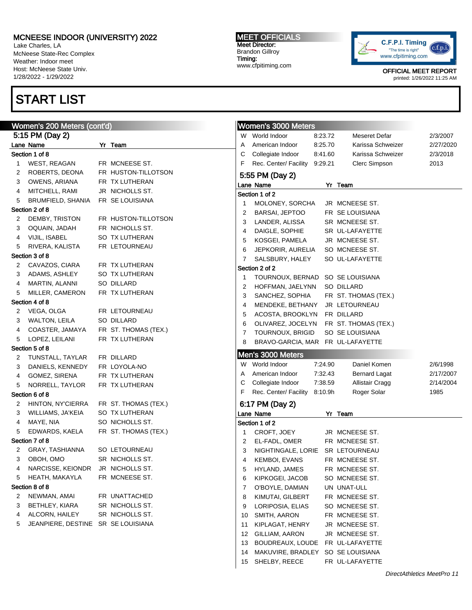Lake Charles, LA McNeese State-Rec Complex Weather: Indoor meet Host: McNeese State Univ. 1/28/2022 - 1/29/2022

## START LIST

#### Women's 200 Meters (cont'd) 5:15 PM (Day 2) Lane Name Yr Team Section 1 of 8 1 WEST, REAGAN FR MCNEESE ST. 2 ROBERTS, DEONA FR HUSTON-TILLOTSON 3 OWENS, ARIANA FR TX LUTHERAN 4 MITCHELL, RAMI JR NICHOLLS ST. 5 BRUMFIELD, SHANIA FR SE LOUISIANA Section 2 of 8 2 DEMBY, TRISTON FR HUSTON-TILLOTSON 3 OQUAIN, JADAH FR NICHOLLS ST. 4 VIJIL, ISABEL SO TX LUTHERAN 5 RIVERA, KALISTA FR LETOURNEAU Section 3 of 8 2 CAVAZOS, CIARA FR TX LUTHERAN 3 ADAMS, ASHLEY SO TX LUTHERAN 4 MARTIN, ALANNI SO DILLARD 5 MILLER, CAMERON FR TX LUTHERAN Section 4 of 8 2 VEGA, OLGA FR LETOURNEAU 3 WALTON, LEILA SO DILLARD 4 COASTER, JAMAYA FR ST. THOMAS (TEX.) 5 LOPEZ, LEILANI FR TX LUTHERAN Section 5 of 8 2 TUNSTALL, TAYLAR FR DILLARD 3 DANIELS, KENNEDY FR LOYOLA-NO 4 GOMEZ, SIRENA FR TX LUTHERAN 5 NORRELL, TAYLOR FR TX LUTHERAN Section 6 of 8 2 HINTON, NY'CIERRA FR ST. THOMAS (TEX.) 3 WILLIAMS, JA'KEIA SO TX LUTHERAN 4 MAYE, NIA SO NICHOLLS ST. 5 EDWARDS, KAELA FR ST. THOMAS (TEX.) Section 7 of 8 2 GRAY, TASHIANNA SO LETOURNEAU 3 OBOH, OMO SR NICHOLLS ST. 4 NARCISSE, KEIONDR JR NICHOLLS ST. 5 HEATH, MAKAYLA FR MCNEESE ST. Section 8 of 8 2 NEWMAN, AMAI FR UNATTACHED 3 BETHLEY, KIARA SR NICHOLLS ST. 4 ALCORN, HAILEY SR NICHOLLS ST. 5 JEANPIERE, DESTINE SR SE LOUISIANA Women's 3000 Meters W World Indoor 8:23.72 Meseret Defar 2/3/2007 A American Indoor 8:25.70 Karissa Schweizer 2/27/2020 C Collegiate Indoor 8:41.60 Karissa Schweizer 2/3/2018 F Rec. Center/ Facility 9:29.21 Clerc Simpson 2013 5:55 PM (Day 2) Lane Name Yr Team Section 1 of 2 1 MOLONEY, SORCHA JR MCNEESE ST. 2 BARSAI, JEPTOO FR SE LOUISIANA 3 LANDER, ALISSA SR MCNEESE ST. 4 DAIGLE, SOPHIE SR UL-LAFAYETTE 5 KOSGEI, PAMELA JR MCNEESE ST. 6 JEPKORIR, AURELIA SO MCNEESE ST. 7 SALSBURY, HALEY SO UL-LAFAYETTE Section 2 of 2 1 TOURNOUX, BERNAD SO SE LOUISIANA 2 HOFFMAN, JAELYNN SO DILLARD 3 SANCHEZ, SOPHIA FR ST. THOMAS (TEX.) 4 MENDEKE, BETHANY JR LETOURNEAU 5 ACOSTA, BROOKLYN FR DILLARD 6 OLIVAREZ, JOCELYN FR ST. THOMAS (TEX.) 7 TOURNOUX, BRIGID SO SE LOUISIANA 8 BRAVO-GARCIA, MAR FR UL-LAFAYETTE Men's 3000 Meters W World Indoor 7:24.90 Daniel Komen 2/6/1998 A American Indoor 7:32.43 Bernard Lagat 2/17/2007 C Collegiate Indoor 7:38.59 Allistair Cragg 2/14/2004 F Rec. Center/ Facility 8:10.9h Roger Solar 1985 6:17 PM (Day 2) Lane Name Yr Team Section 1 of 2 1 CROFT, JOEY JR MCNEESE ST. 2 EL-FADL, OMER FR MCNEESE ST. 3 NIGHTINGALE, LORIE SR LETOURNEAU 4 KEMBOI, EVANS FR MCNEESE ST. 5 HYLAND, JAMES FR MCNEESE ST. 6 KIPKOGEI, JACOB SO MCNEESE ST. 7 O'BOYLE, DAMIAN UN UNAT-ULL 8 KIMUTAI, GILBERT FR MCNEESE ST. 9 LORIPOSIA, ELIAS SO MCNEESE ST. 10 SMITH, AARON FR MCNEESE ST. 11 KIPLAGAT, HENRY JR MCNEESE ST. 12 GILLIAM, AARON JR MCNEESE ST.

MEET OFFICIALS Meet Director: Brandon Gillroy Timing: www.cfpitiming.com



OFFICIAL MEET REPORT

printed: 1/26/2022 11:25 AM

13 BOUDREAUX, LOUDE FR UL-LAFAYETTE 14 MAKUVIRE, BRADLEY SO SE LOUISIANA 15 SHELBY, REECE FR UL-LAFAYETTE